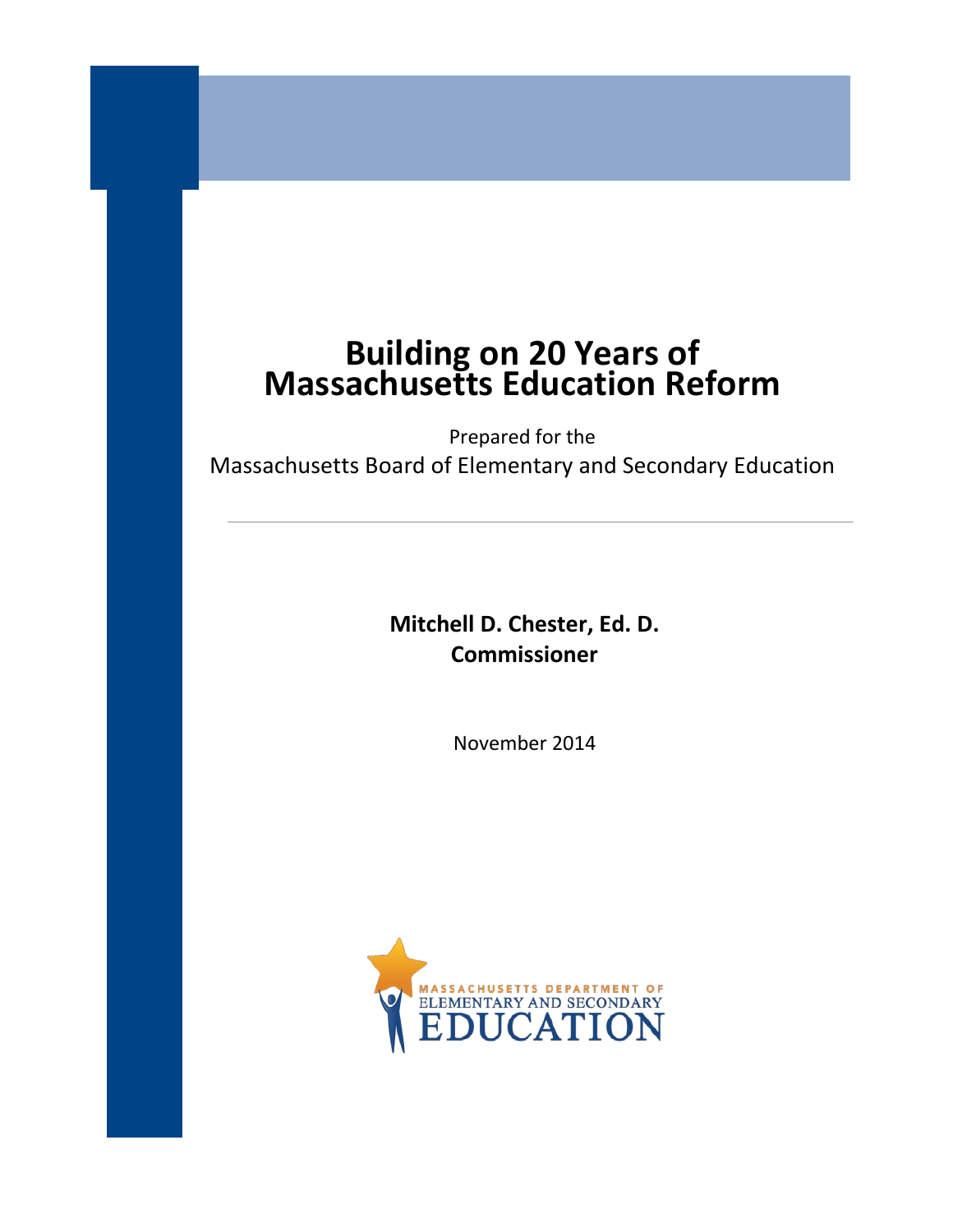# **Building on 20 Years of Massachusetts Education Reform**

Prepared for the Massachusetts Board of Elementary and Secondary Education

> **Mitchell D. Chester, Ed. D. Commissioner**

> > November 2014

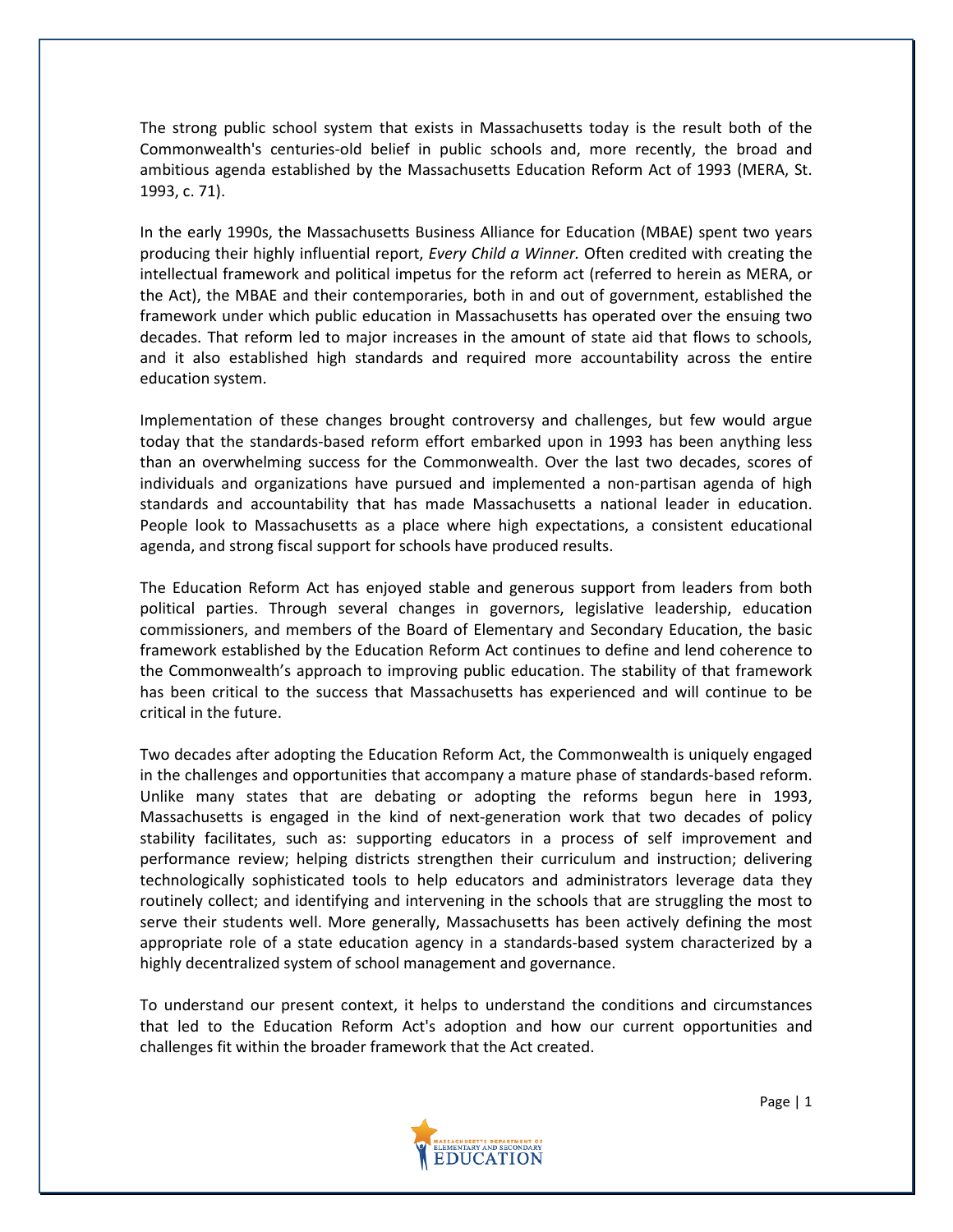The strong public school system that exists in Massachusetts today is the result both of the Commonwealth's centuries-old belief in public schools and, more recently, the broad and ambitious agenda established by the Massachusetts Education Reform Act of 1993 (MERA, St. 1993, c. 71).

In the early 1990s, the Massachusetts Business Alliance for Education (MBAE) spent two years producing their highly influential report, *Every Child a Winner.* Often credited with creating the intellectual framework and political impetus for the reform act (referred to herein as MERA, or the Act), the MBAE and their contemporaries, both in and out of government, established the framework under which public education in Massachusetts has operated over the ensuing two decades. That reform led to major increases in the amount of state aid that flows to schools, and it also established high standards and required more accountability across the entire education system.

Implementation of these changes brought controversy and challenges, but few would argue today that the standards-based reform effort embarked upon in 1993 has been anything less than an overwhelming success for the Commonwealth. Over the last two decades, scores of individuals and organizations have pursued and implemented a non-partisan agenda of high standards and accountability that has made Massachusetts a national leader in education. People look to Massachusetts as a place where high expectations, a consistent educational agenda, and strong fiscal support for schools have produced results.

The Education Reform Act has enjoyed stable and generous support from leaders from both political parties. Through several changes in governors, legislative leadership, education commissioners, and members of the Board of Elementary and Secondary Education, the basic framework established by the Education Reform Act continues to define and lend coherence to the Commonwealth's approach to improving public education. The stability of that framework has been critical to the success that Massachusetts has experienced and will continue to be critical in the future.

Two decades after adopting the Education Reform Act, the Commonwealth is uniquely engaged in the challenges and opportunities that accompany a mature phase of standards-based reform. Unlike many states that are debating or adopting the reforms begun here in 1993, Massachusetts is engaged in the kind of next-generation work that two decades of policy stability facilitates, such as: supporting educators in a process of self improvement and performance review; helping districts strengthen their curriculum and instruction; delivering technologically sophisticated tools to help educators and administrators leverage data they routinely collect; and identifying and intervening in the schools that are struggling the most to serve their students well. More generally, Massachusetts has been actively defining the most appropriate role of a state education agency in a standards-based system characterized by a highly decentralized system of school management and governance.

To understand our present context, it helps to understand the conditions and circumstances that led to the Education Reform Act's adoption and how our current opportunities and challenges fit within the broader framework that the Act created.

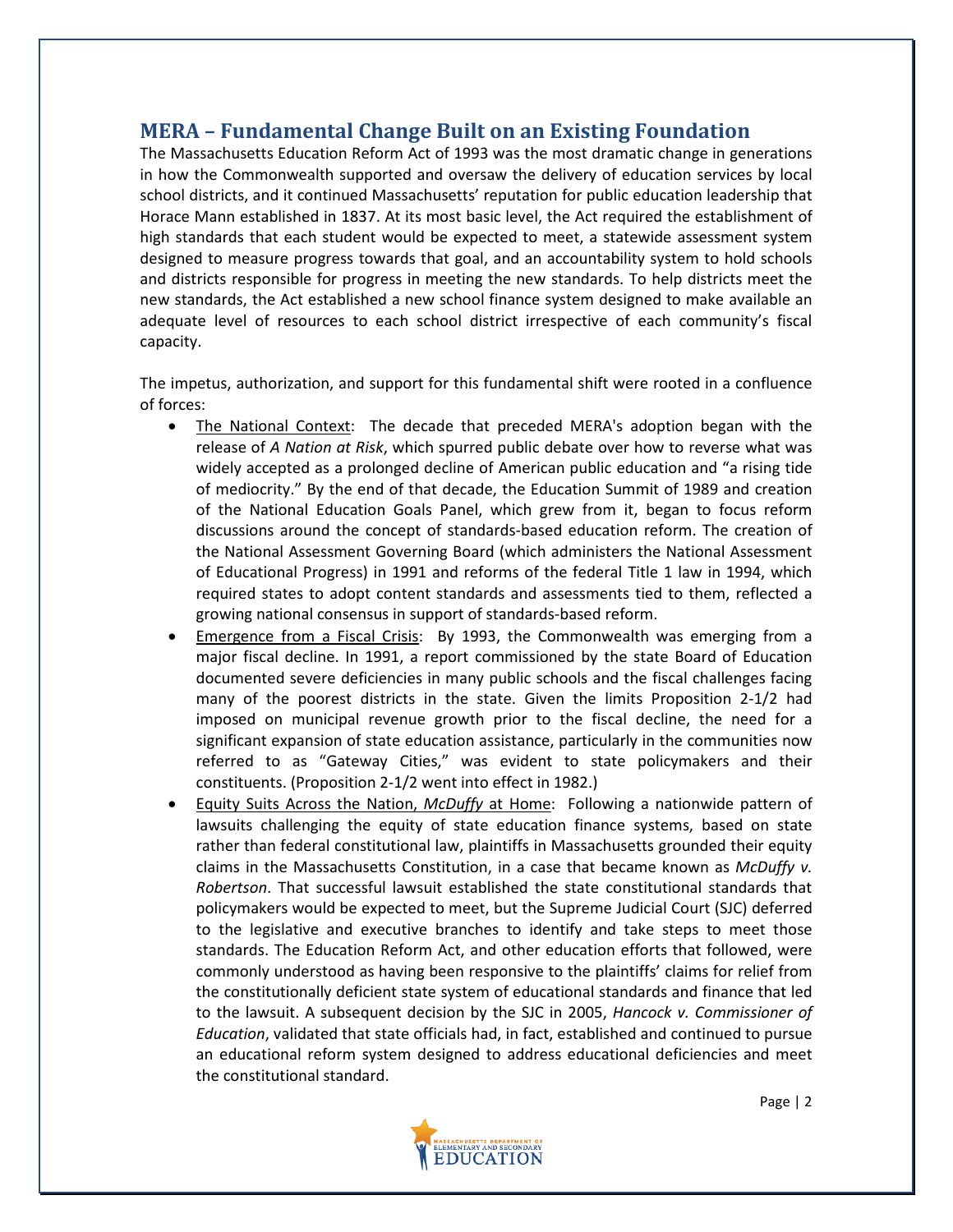# **MERA – Fundamental Change Built on an Existing Foundation**

The Massachusetts Education Reform Act of 1993 was the most dramatic change in generations in how the Commonwealth supported and oversaw the delivery of education services by local school districts, and it continued Massachusetts' reputation for public education leadership that Horace Mann established in 1837. At its most basic level, the Act required the establishment of high standards that each student would be expected to meet, a statewide assessment system designed to measure progress towards that goal, and an accountability system to hold schools and districts responsible for progress in meeting the new standards. To help districts meet the new standards, the Act established a new school finance system designed to make available an adequate level of resources to each school district irrespective of each community's fiscal capacity.

The impetus, authorization, and support for this fundamental shift were rooted in a confluence of forces:

- The National Context: The decade that preceded MERA's adoption began with the release of *A Nation at Risk*, which spurred public debate over how to reverse what was widely accepted as a prolonged decline of American public education and "a rising tide of mediocrity." By the end of that decade, the Education Summit of 1989 and creation of the National Education Goals Panel, which grew from it, began to focus reform discussions around the concept of standards-based education reform. The creation of the National Assessment Governing Board (which administers the National Assessment of Educational Progress) in 1991 and reforms of the federal Title 1 law in 1994, which required states to adopt content standards and assessments tied to them, reflected a growing national consensus in support of standards-based reform.
- Emergence from a Fiscal Crisis: By 1993, the Commonwealth was emerging from a major fiscal decline. In 1991, a report commissioned by the state Board of Education documented severe deficiencies in many public schools and the fiscal challenges facing many of the poorest districts in the state. Given the limits Proposition 2-1/2 had imposed on municipal revenue growth prior to the fiscal decline, the need for a significant expansion of state education assistance, particularly in the communities now referred to as "Gateway Cities," was evident to state policymakers and their constituents. (Proposition 2-1/2 went into effect in 1982.)
- Equity Suits Across the Nation, *McDuffy* at Home: Following a nationwide pattern of lawsuits challenging the equity of state education finance systems, based on state rather than federal constitutional law, plaintiffs in Massachusetts grounded their equity claims in the Massachusetts Constitution, in a case that became known as *McDuffy v. Robertson*. That successful lawsuit established the state constitutional standards that policymakers would be expected to meet, but the Supreme Judicial Court (SJC) deferred to the legislative and executive branches to identify and take steps to meet those standards. The Education Reform Act, and other education efforts that followed, were commonly understood as having been responsive to the plaintiffs' claims for relief from the constitutionally deficient state system of educational standards and finance that led to the lawsuit. A subsequent decision by the SJC in 2005, *Hancock v. Commissioner of Education*, validated that state officials had, in fact, established and continued to pursue an educational reform system designed to address educational deficiencies and meet the constitutional standard.

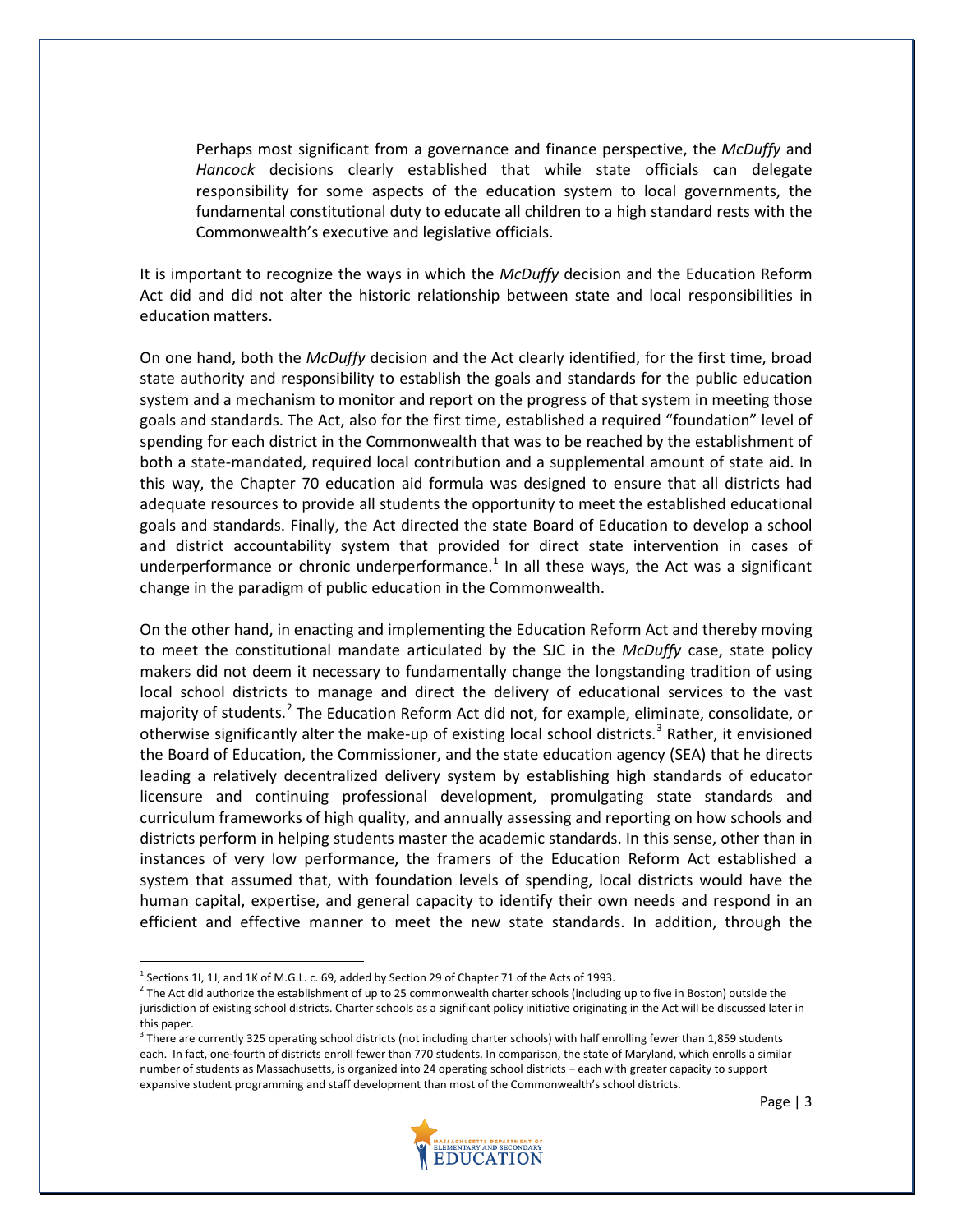Perhaps most significant from a governance and finance perspective, the *McDuffy* and *Hancock* decisions clearly established that while state officials can delegate responsibility for some aspects of the education system to local governments, the fundamental constitutional duty to educate all children to a high standard rests with the Commonwealth's executive and legislative officials.

It is important to recognize the ways in which the *McDuffy* decision and the Education Reform Act did and did not alter the historic relationship between state and local responsibilities in education matters.

On one hand, both the *McDuffy* decision and the Act clearly identified, for the first time, broad state authority and responsibility to establish the goals and standards for the public education system and a mechanism to monitor and report on the progress of that system in meeting those goals and standards. The Act, also for the first time, established a required "foundation" level of spending for each district in the Commonwealth that was to be reached by the establishment of both a state-mandated, required local contribution and a supplemental amount of state aid. In this way, the Chapter 70 education aid formula was designed to ensure that all districts had adequate resources to provide all students the opportunity to meet the established educational goals and standards. Finally, the Act directed the state Board of Education to develop a school and district accountability system that provided for direct state intervention in cases of underperformance or chronic underperformance.<sup>[1](#page-3-0)</sup> In all these ways, the Act was a significant change in the paradigm of public education in the Commonwealth.

On the other hand, in enacting and implementing the Education Reform Act and thereby moving to meet the constitutional mandate articulated by the SJC in the *McDuffy* case, state policy makers did not deem it necessary to fundamentally change the longstanding tradition of using local school districts to manage and direct the delivery of educational services to the vast majority of students.<sup>[2](#page-3-1)</sup> The Education Reform Act did not, for example, eliminate, consolidate, or otherwise significantly alter the make-up of existing local school districts.<sup>[3](#page-3-2)</sup> Rather, it envisioned the Board of Education, the Commissioner, and the state education agency (SEA) that he directs leading a relatively decentralized delivery system by establishing high standards of educator licensure and continuing professional development, promulgating state standards and curriculum frameworks of high quality, and annually assessing and reporting on how schools and districts perform in helping students master the academic standards. In this sense, other than in instances of very low performance, the framers of the Education Reform Act established a system that assumed that, with foundation levels of spending, local districts would have the human capital, expertise, and general capacity to identify their own needs and respond in an efficient and effective manner to meet the new state standards. In addition, through the

<span id="page-3-2"></span><sup>&</sup>lt;sup>3</sup> There are currently 325 operating school districts (not including charter schools) with half enrolling fewer than 1,859 students each. In fact, one-fourth of districts enroll fewer than 770 students. In comparison, the state of Maryland, which enrolls a similar number of students as Massachusetts, is organized into 24 operating school districts – each with greater capacity to support expansive student programming and staff development than most of the Commonwealth's school districts.



 $^1$  Sections 1I, 1J, and 1K of M.G.L. c. 69, added by Section 29 of Chapter 71 of the Acts of 1993.

<span id="page-3-1"></span><span id="page-3-0"></span> $2$  The Act did authorize the establishment of up to 25 commonwealth charter schools (including up to five in Boston) outside the jurisdiction of existing school districts. Charter schools as a significant policy initiative originating in the Act will be discussed later in this paper.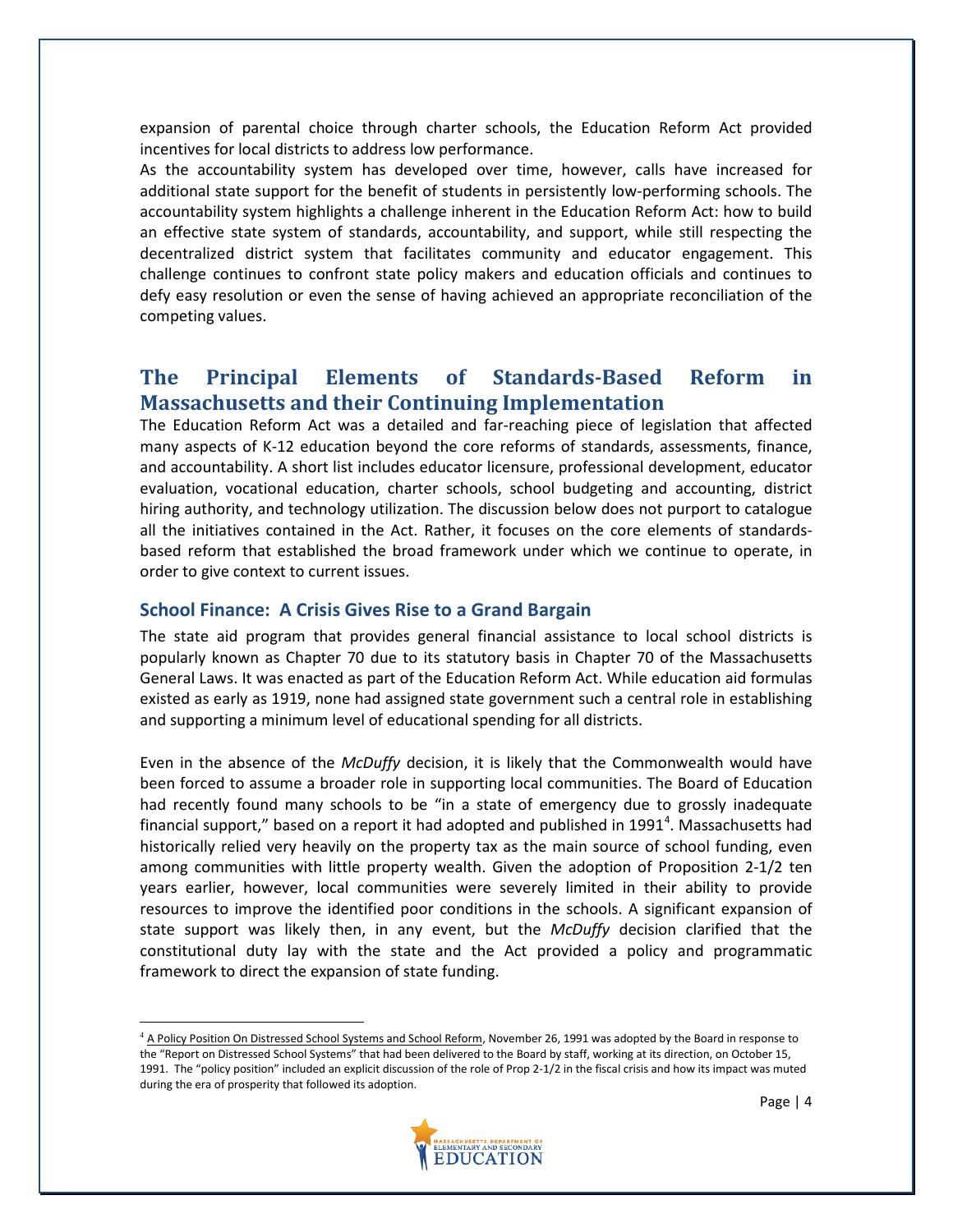expansion of parental choice through charter schools, the Education Reform Act provided incentives for local districts to address low performance.

As the accountability system has developed over time, however, calls have increased for additional state support for the benefit of students in persistently low-performing schools. The accountability system highlights a challenge inherent in the Education Reform Act: how to build an effective state system of standards, accountability, and support, while still respecting the decentralized district system that facilitates community and educator engagement. This challenge continues to confront state policy makers and education officials and continues to defy easy resolution or even the sense of having achieved an appropriate reconciliation of the competing values.

# **The Principal Elements of Standards-Based Reform in Massachusetts and their Continuing Implementation**

The Education Reform Act was a detailed and far-reaching piece of legislation that affected many aspects of K-12 education beyond the core reforms of standards, assessments, finance, and accountability. A short list includes educator licensure, professional development, educator evaluation, vocational education, charter schools, school budgeting and accounting, district hiring authority, and technology utilization. The discussion below does not purport to catalogue all the initiatives contained in the Act. Rather, it focuses on the core elements of standardsbased reform that established the broad framework under which we continue to operate, in order to give context to current issues.

#### **School Finance: A Crisis Gives Rise to a Grand Bargain**

The state aid program that provides general financial assistance to local school districts is popularly known as Chapter 70 due to its statutory basis in Chapter 70 of the Massachusetts General Laws. It was enacted as part of the Education Reform Act. While education aid formulas existed as early as 1919, none had assigned state government such a central role in establishing and supporting a minimum level of educational spending for all districts.

Even in the absence of the *McDuffy* decision, it is likely that the Commonwealth would have been forced to assume a broader role in supporting local communities. The Board of Education had recently found many schools to be "in a state of emergency due to grossly inadequate financial support," based on a report it had adopted and published in 1991<sup>[4](#page-4-0)</sup>. Massachusetts had historically relied very heavily on the property tax as the main source of school funding, even among communities with little property wealth. Given the adoption of Proposition 2-1/2 ten years earlier, however, local communities were severely limited in their ability to provide resources to improve the identified poor conditions in the schools. A significant expansion of state support was likely then, in any event, but the *McDuffy* decision clarified that the constitutional duty lay with the state and the Act provided a policy and programmatic framework to direct the expansion of state funding.

<span id="page-4-0"></span><sup>&</sup>lt;sup>4</sup> A Policy Position On Distressed School Systems and School Reform, November 26, 1991 was adopted by the Board in response to the "Report on Distressed School Systems" that had been delivered to the Board by staff, working at its direction, on October 15, 1991. The "policy position" included an explicit discussion of the role of Prop 2-1/2 in the fiscal crisis and how its impact was muted during the era of prosperity that followed its adoption.

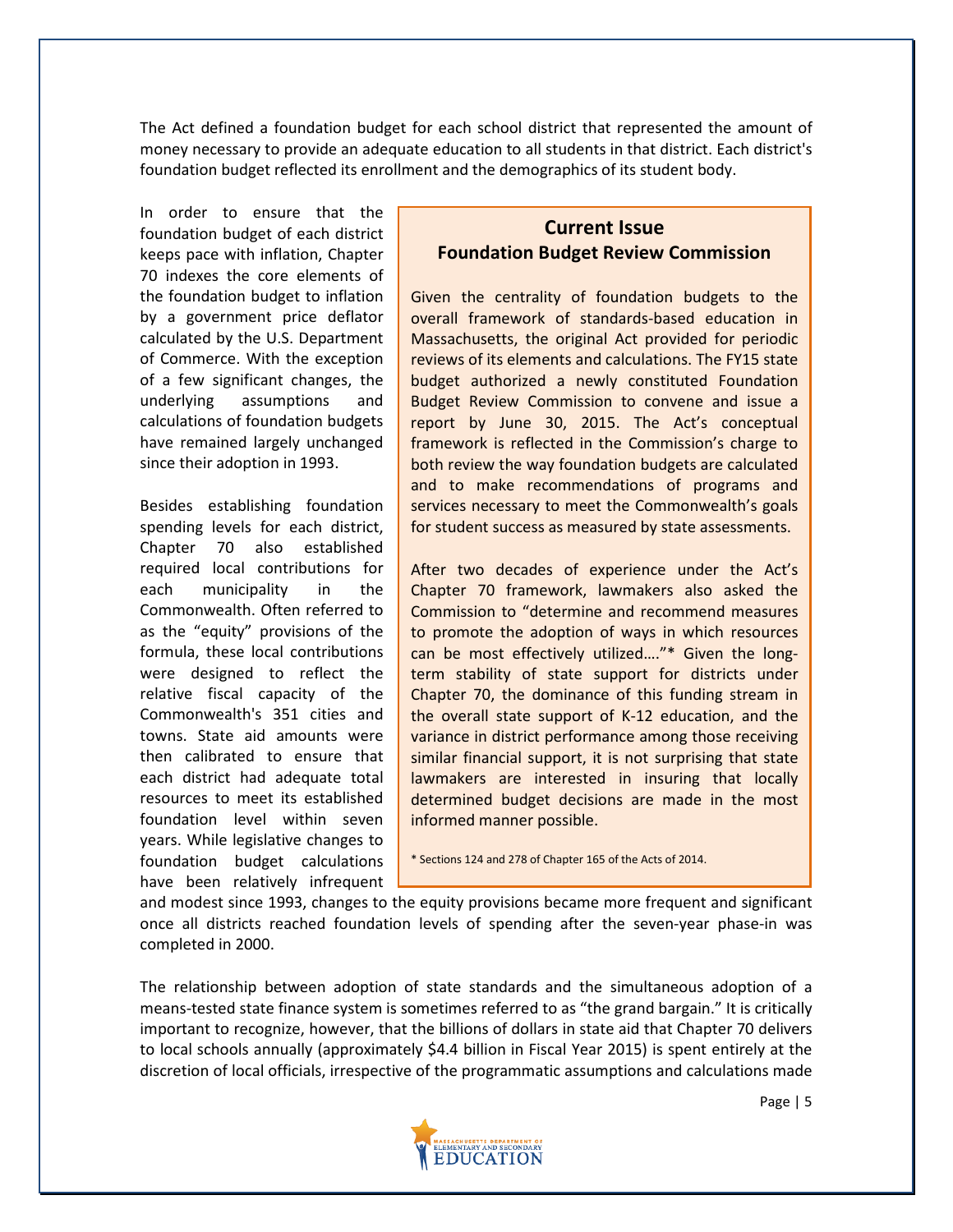The Act defined a foundation budget for each school district that represented the amount of money necessary to provide an adequate education to all students in that district. Each district's foundation budget reflected its enrollment and the demographics of its student body.

In order to ensure that the foundation budget of each district keeps pace with inflation, Chapter 70 indexes the core elements of the foundation budget to inflation by a government price deflator calculated by the U.S. Department of Commerce. With the exception of a few significant changes, the underlying assumptions and calculations of foundation budgets have remained largely unchanged since their adoption in 1993.

Besides establishing foundation spending levels for each district, Chapter 70 also established required local contributions for each municipality in the Commonwealth. Often referred to as the "equity" provisions of the formula, these local contributions were designed to reflect the relative fiscal capacity of the Commonwealth's 351 cities and towns. State aid amounts were then calibrated to ensure that each district had adequate total resources to meet its established foundation level within seven years. While legislative changes to foundation budget calculations have been relatively infrequent

## **Current Issue Foundation Budget Review Commission**

Given the centrality of foundation budgets to the overall framework of standards-based education in Massachusetts, the original Act provided for periodic reviews of its elements and calculations. The FY15 state budget authorized a newly constituted Foundation Budget Review Commission to convene and issue a report by June 30, 2015. The Act's conceptual framework is reflected in the Commission's charge to both review the way foundation budgets are calculated and to make recommendations of programs and services necessary to meet the Commonwealth's goals for student success as measured by state assessments.

After two decades of experience under the Act's Chapter 70 framework, lawmakers also asked the Commission to "determine and recommend measures to promote the adoption of ways in which resources can be most effectively utilized…."\* Given the longterm stability of state support for districts under Chapter 70, the dominance of this funding stream in the overall state support of K-12 education, and the variance in district performance among those receiving similar financial support, it is not surprising that state lawmakers are interested in insuring that locally determined budget decisions are made in the most informed manner possible.

\* Sections 124 and 278 of Chapter 165 of the Acts of 2014.

and modest since 1993, changes to the equity provisions became more frequent and significant once all districts reached foundation levels of spending after the seven-year phase-in was completed in 2000.

The relationship between adoption of state standards and the simultaneous adoption of a means-tested state finance system is sometimes referred to as "the grand bargain." It is critically important to recognize, however, that the billions of dollars in state aid that Chapter 70 delivers to local schools annually (approximately \$4.4 billion in Fiscal Year 2015) is spent entirely at the discretion of local officials, irrespective of the programmatic assumptions and calculations made

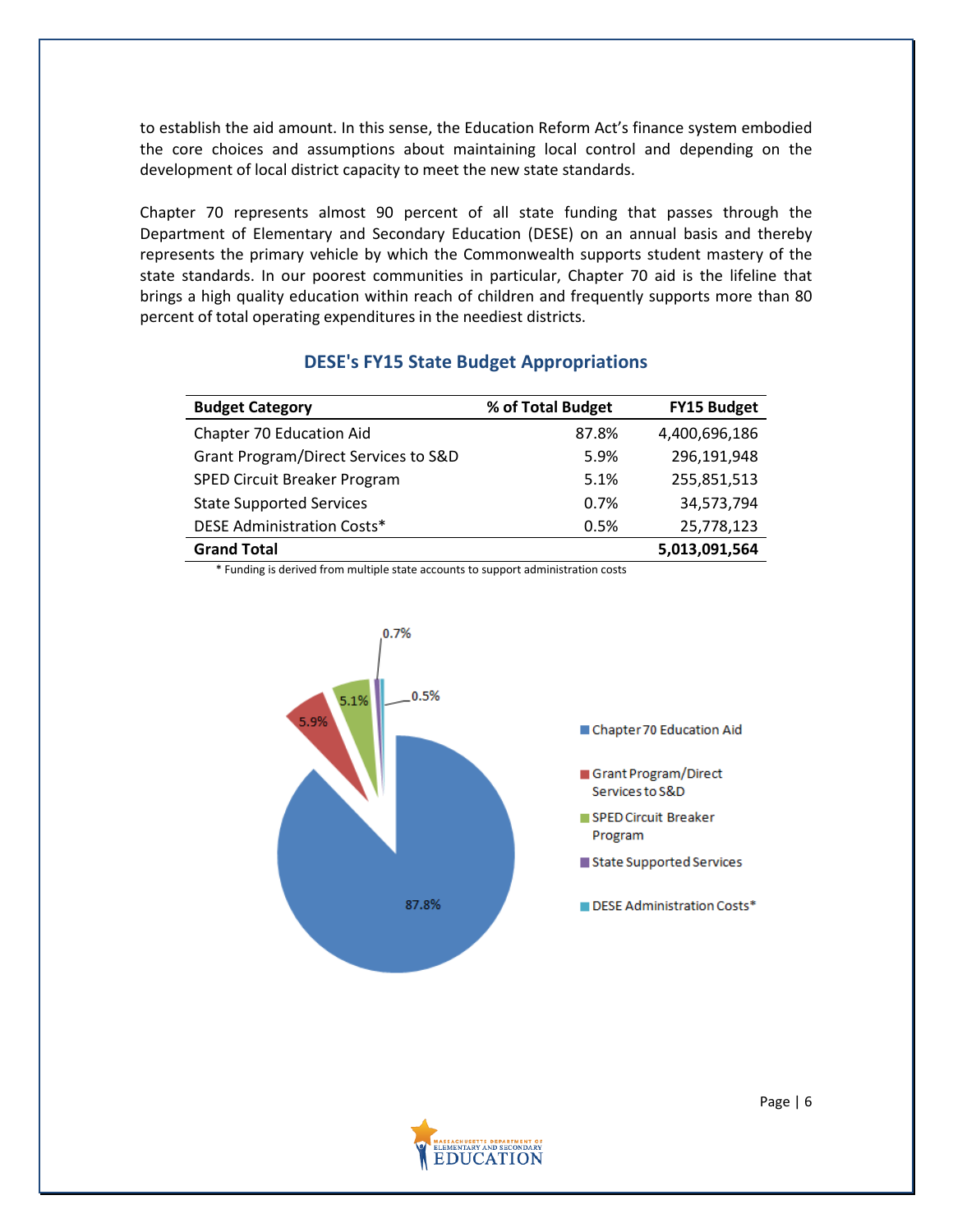to establish the aid amount. In this sense, the Education Reform Act's finance system embodied the core choices and assumptions about maintaining local control and depending on the development of local district capacity to meet the new state standards.

Chapter 70 represents almost 90 percent of all state funding that passes through the Department of Elementary and Secondary Education (DESE) on an annual basis and thereby represents the primary vehicle by which the Commonwealth supports student mastery of the state standards. In our poorest communities in particular, Chapter 70 aid is the lifeline that brings a high quality education within reach of children and frequently supports more than 80 percent of total operating expenditures in the neediest districts.

| <b>Budget Category</b>               | % of Total Budget | <b>FY15 Budget</b> |
|--------------------------------------|-------------------|--------------------|
| Chapter 70 Education Aid             | 87.8%             | 4,400,696,186      |
| Grant Program/Direct Services to S&D | 5.9%              | 296,191,948        |
| <b>SPED Circuit Breaker Program</b>  | 5.1%              | 255,851,513        |
| <b>State Supported Services</b>      | 0.7%              | 34,573,794         |
| <b>DESE Administration Costs*</b>    | 0.5%              | 25,778,123         |
| <b>Grand Total</b>                   |                   | 5,013,091,564      |

## **DESE's FY15 State Budget Appropriations**

\* Funding is derived from multiple state accounts to support administration costs



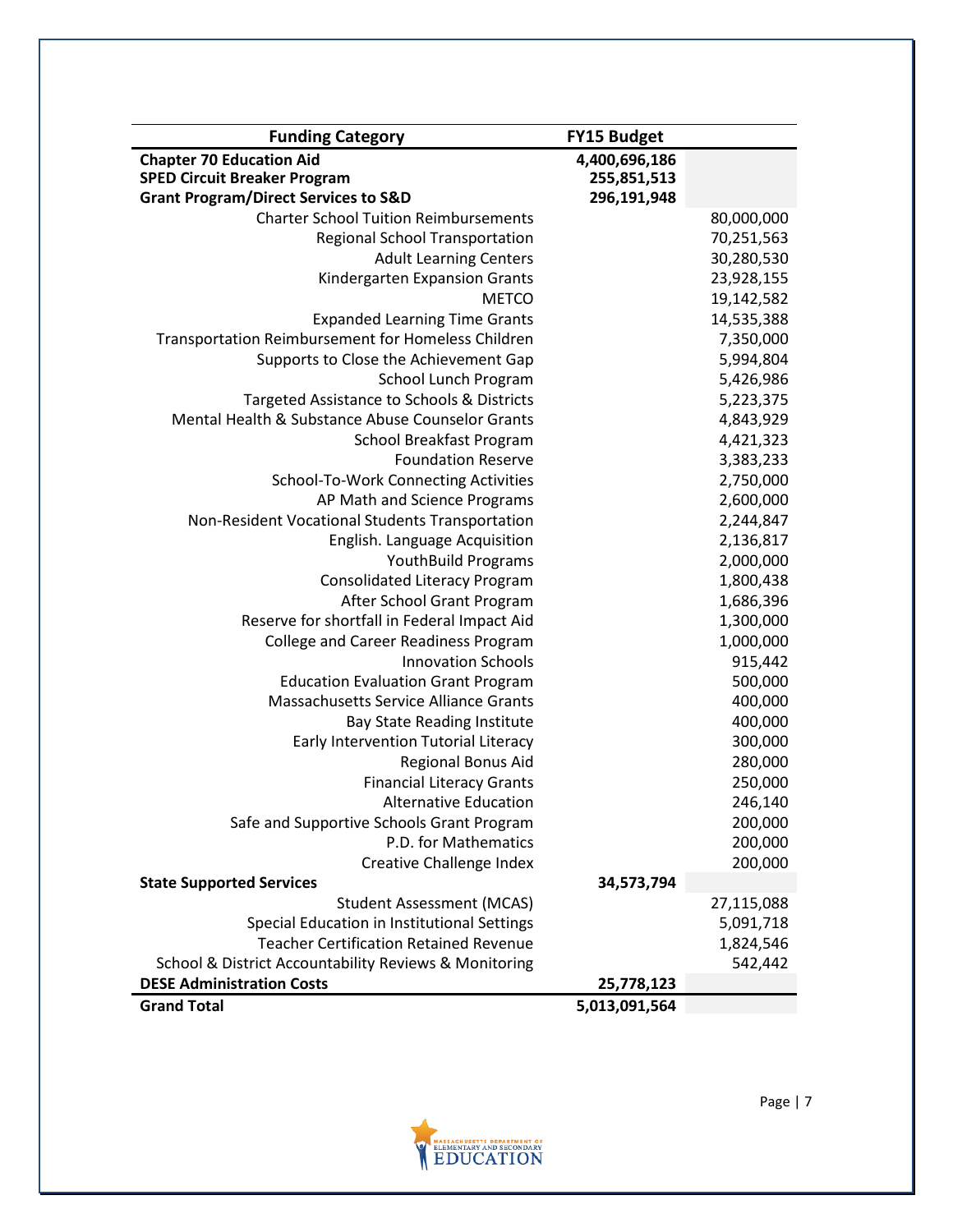| <b>Funding Category</b>                               | <b>FY15 Budget</b> |            |
|-------------------------------------------------------|--------------------|------------|
| <b>Chapter 70 Education Aid</b>                       | 4,400,696,186      |            |
| <b>SPED Circuit Breaker Program</b>                   | 255,851,513        |            |
| <b>Grant Program/Direct Services to S&amp;D</b>       | 296,191,948        |            |
| <b>Charter School Tuition Reimbursements</b>          |                    | 80,000,000 |
| <b>Regional School Transportation</b>                 |                    | 70,251,563 |
| <b>Adult Learning Centers</b>                         |                    | 30,280,530 |
| Kindergarten Expansion Grants                         |                    | 23,928,155 |
| <b>METCO</b>                                          |                    | 19,142,582 |
| <b>Expanded Learning Time Grants</b>                  |                    | 14,535,388 |
| Transportation Reimbursement for Homeless Children    |                    | 7,350,000  |
| Supports to Close the Achievement Gap                 |                    | 5,994,804  |
| School Lunch Program                                  |                    | 5,426,986  |
| Targeted Assistance to Schools & Districts            |                    | 5,223,375  |
| Mental Health & Substance Abuse Counselor Grants      |                    | 4,843,929  |
| <b>School Breakfast Program</b>                       |                    | 4,421,323  |
| <b>Foundation Reserve</b>                             |                    | 3,383,233  |
| School-To-Work Connecting Activities                  |                    | 2,750,000  |
| AP Math and Science Programs                          |                    | 2,600,000  |
| Non-Resident Vocational Students Transportation       |                    | 2,244,847  |
| English. Language Acquisition                         |                    | 2,136,817  |
| <b>YouthBuild Programs</b>                            |                    | 2,000,000  |
| <b>Consolidated Literacy Program</b>                  |                    | 1,800,438  |
| After School Grant Program                            |                    | 1,686,396  |
| Reserve for shortfall in Federal Impact Aid           |                    | 1,300,000  |
| <b>College and Career Readiness Program</b>           |                    | 1,000,000  |
| <b>Innovation Schools</b>                             |                    | 915,442    |
| <b>Education Evaluation Grant Program</b>             |                    | 500,000    |
| Massachusetts Service Alliance Grants                 |                    | 400,000    |
| <b>Bay State Reading Institute</b>                    |                    | 400,000    |
| Early Intervention Tutorial Literacy                  |                    | 300,000    |
| Regional Bonus Aid                                    |                    | 280,000    |
| <b>Financial Literacy Grants</b>                      |                    | 250,000    |
| <b>Alternative Education</b>                          |                    | 246,140    |
| Safe and Supportive Schools Grant Program             |                    | 200,000    |
| P.D. for Mathematics                                  |                    | 200,000    |
| Creative Challenge Index                              |                    | 200,000    |
| <b>State Supported Services</b>                       | 34,573,794         |            |
| <b>Student Assessment (MCAS)</b>                      |                    | 27,115,088 |
| Special Education in Institutional Settings           |                    | 5,091,718  |
| <b>Teacher Certification Retained Revenue</b>         |                    | 1,824,546  |
| School & District Accountability Reviews & Monitoring |                    | 542,442    |
| <b>DESE Administration Costs</b>                      | 25,778,123         |            |
| <b>Grand Total</b>                                    | 5,013,091,564      |            |

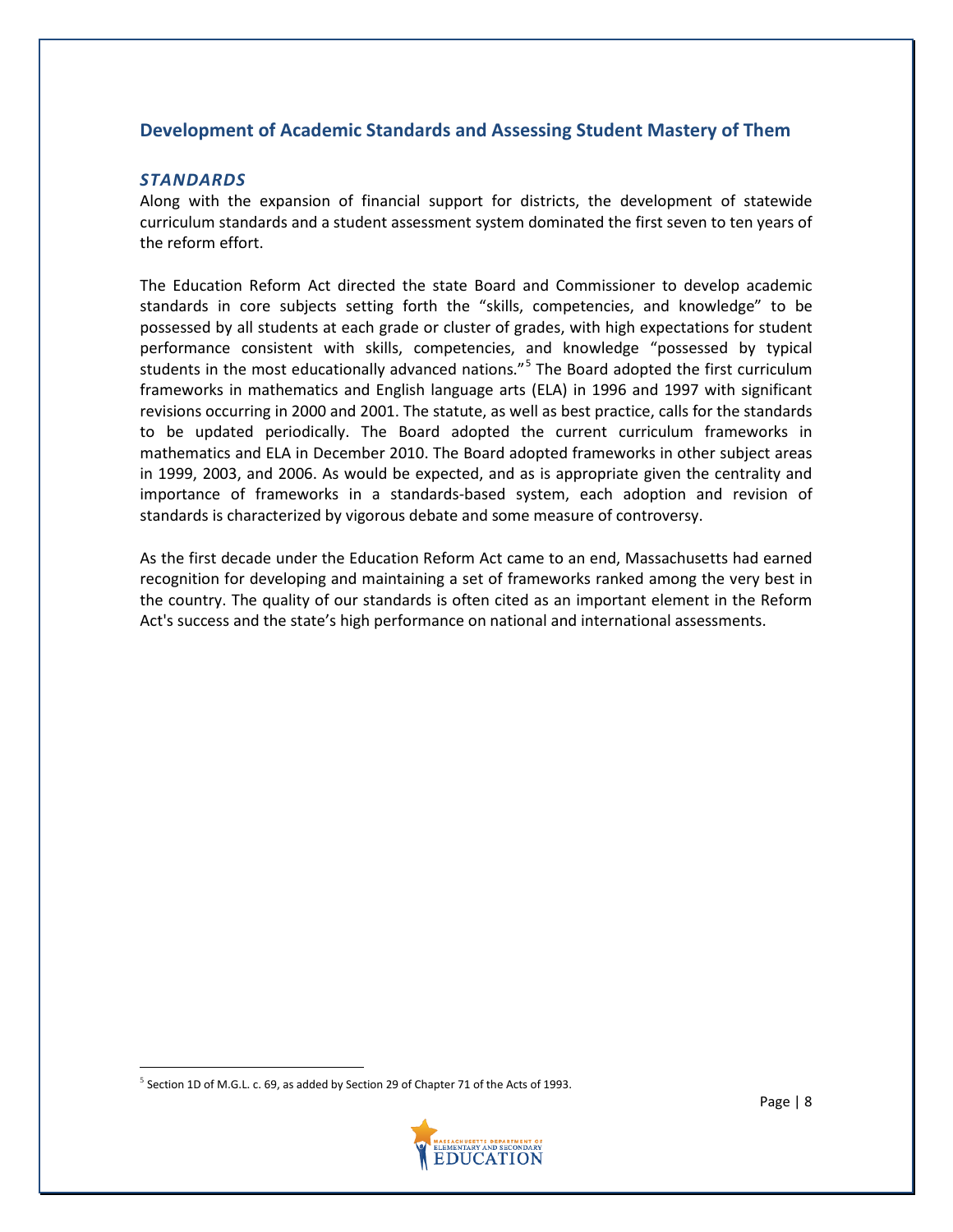## **Development of Academic Standards and Assessing Student Mastery of Them**

#### *STANDARDS*

Along with the expansion of financial support for districts, the development of statewide curriculum standards and a student assessment system dominated the first seven to ten years of the reform effort.

The Education Reform Act directed the state Board and Commissioner to develop academic standards in core subjects setting forth the "skills, competencies, and knowledge" to be possessed by all students at each grade or cluster of grades, with high expectations for student performance consistent with skills, competencies, and knowledge "possessed by typical students in the most educationally advanced nations."<sup>[5](#page-8-0)</sup> The Board adopted the first curriculum frameworks in mathematics and English language arts (ELA) in 1996 and 1997 with significant revisions occurring in 2000 and 2001. The statute, as well as best practice, calls for the standards to be updated periodically. The Board adopted the current curriculum frameworks in mathematics and ELA in December 2010. The Board adopted frameworks in other subject areas in 1999, 2003, and 2006. As would be expected, and as is appropriate given the centrality and importance of frameworks in a standards-based system, each adoption and revision of standards is characterized by vigorous debate and some measure of controversy.

As the first decade under the Education Reform Act came to an end, Massachusetts had earned recognition for developing and maintaining a set of frameworks ranked among the very best in the country. The quality of our standards is often cited as an important element in the Reform Act's success and the state's high performance on national and international assessments.

<span id="page-8-0"></span> $5$  Section 1D of M.G.L. c. 69, as added by Section 29 of Chapter 71 of the Acts of 1993.

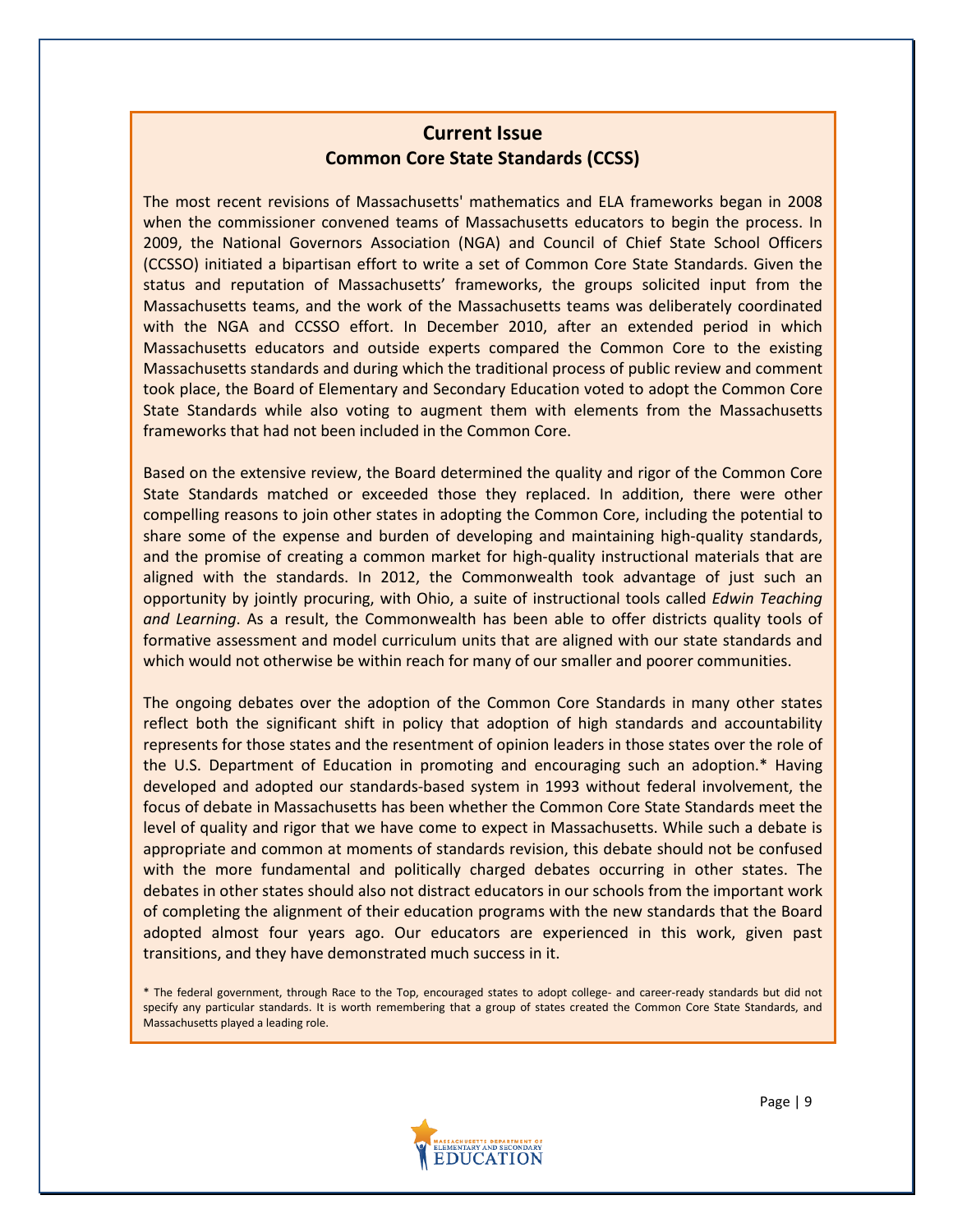# **Current Issue Common Core State Standards (CCSS)**

The most recent revisions of Massachusetts' mathematics and ELA frameworks began in 2008 when the commissioner convened teams of Massachusetts educators to begin the process. In 2009, the National Governors Association (NGA) and Council of Chief State School Officers (CCSSO) initiated a bipartisan effort to write a set of Common Core State Standards. Given the status and reputation of Massachusetts' frameworks, the groups solicited input from the Massachusetts teams, and the work of the Massachusetts teams was deliberately coordinated with the NGA and CCSSO effort. In December 2010, after an extended period in which Massachusetts educators and outside experts compared the Common Core to the existing Massachusetts standards and during which the traditional process of public review and comment took place, the Board of Elementary and Secondary Education voted to adopt the Common Core State Standards while also voting to augment them with elements from the Massachusetts frameworks that had not been included in the Common Core.

Based on the extensive review, the Board determined the quality and rigor of the Common Core State Standards matched or exceeded those they replaced. In addition, there were other compelling reasons to join other states in adopting the Common Core, including the potential to share some of the expense and burden of developing and maintaining high-quality standards, and the promise of creating a common market for high-quality instructional materials that are aligned with the standards. In 2012, the Commonwealth took advantage of just such an opportunity by jointly procuring, with Ohio, a suite of instructional tools called *Edwin Teaching and Learning*. As a result, the Commonwealth has been able to offer districts quality tools of formative assessment and model curriculum units that are aligned with our state standards and which would not otherwise be within reach for many of our smaller and poorer communities.

The ongoing debates over the adoption of the Common Core Standards in many other states reflect both the significant shift in policy that adoption of high standards and accountability represents for those states and the resentment of opinion leaders in those states over the role of the U.S. Department of Education in promoting and encouraging such an adoption.\* Having developed and adopted our standards-based system in 1993 without federal involvement, the focus of debate in Massachusetts has been whether the Common Core State Standards meet the level of quality and rigor that we have come to expect in Massachusetts. While such a debate is appropriate and common at moments of standards revision, this debate should not be confused with the more fundamental and politically charged debates occurring in other states. The debates in other states should also not distract educators in our schools from the important work of completing the alignment of their education programs with the new standards that the Board adopted almost four years ago. Our educators are experienced in this work, given past transitions, and they have demonstrated much success in it.

\* The federal government, through Race to the Top, encouraged states to adopt college- and career-ready standards but did not specify any particular standards. It is worth remembering that a group of states created the Common Core State Standards, and Massachusetts played a leading role.

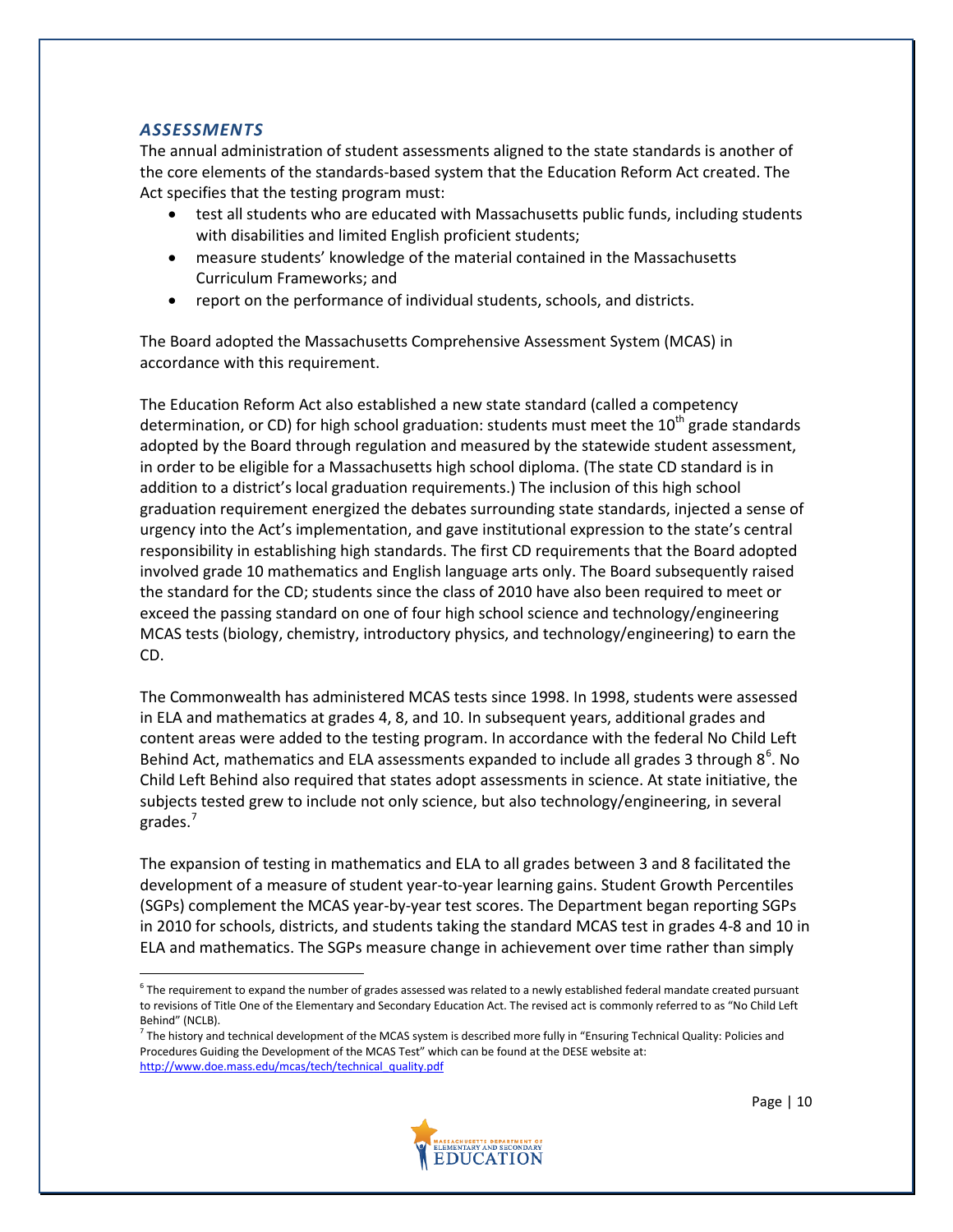#### *ASSESSMENTS*

The annual administration of student assessments aligned to the state standards is another of the core elements of the standards-based system that the Education Reform Act created. The Act specifies that the testing program must:

- test all students who are educated with Massachusetts public funds, including students with disabilities and limited English proficient students;
- measure students' knowledge of the material contained in the Massachusetts Curriculum Frameworks; and
- report on the performance of individual students, schools, and districts.

The Board adopted the Massachusetts Comprehensive Assessment System (MCAS) in accordance with this requirement.

The Education Reform Act also established a new state standard (called a competency determination, or CD) for high school graduation: students must meet the  $10<sup>th</sup>$  grade standards adopted by the Board through regulation and measured by the statewide student assessment, in order to be eligible for a Massachusetts high school diploma. (The state CD standard is in addition to a district's local graduation requirements.) The inclusion of this high school graduation requirement energized the debates surrounding state standards, injected a sense of urgency into the Act's implementation, and gave institutional expression to the state's central responsibility in establishing high standards. The first CD requirements that the Board adopted involved grade 10 mathematics and English language arts only. The Board subsequently raised the standard for the CD; students since the class of 2010 have also been required to meet or exceed the passing standard on one of four high school science and technology/engineering MCAS tests (biology, chemistry, introductory physics, and technology/engineering) to earn the CD.

The Commonwealth has administered MCAS tests since 1998. In 1998, students were assessed in ELA and mathematics at grades 4, 8, and 10. In subsequent years, additional grades and content areas were added to the testing program. In accordance with the federal No Child Left Behind Act, mathematics and ELA assessments expanded to include all grades 3 through  $8^6$  $8^6$ . No Child Left Behind also required that states adopt assessments in science. At state initiative, the subjects tested grew to include not only science, but also technology/engineering, in several grades.<sup>[7](#page-10-1)</sup>

The expansion of testing in mathematics and ELA to all grades between 3 and 8 facilitated the development of a measure of student year-to-year learning gains. Student Growth Percentiles (SGPs) complement the MCAS year-by-year test scores. The Department began reporting SGPs in 2010 for schools, districts, and students taking the standard MCAS test in grades 4-8 and 10 in ELA and mathematics. The SGPs measure change in achievement over time rather than simply

<span id="page-10-1"></span> $<sup>7</sup>$  The history and technical development of the MCAS system is described more fully in "Ensuring Technical Quality: Policies and</sup> Procedures Guiding the Development of the MCAS Test" which can be found at the DESE website at: [http://www.doe.mass.edu/mcas/tech/technical\\_quality.pdf](http://www.doe.mass.edu/mcas/tech/technical_quality.pdf)



<span id="page-10-0"></span> $6$  The requirement to expand the number of grades assessed was related to a newly established federal mandate created pursuant to revisions of Title One of the Elementary and Secondary Education Act. The revised act is commonly referred to as "No Child Left Behind" (NCLB).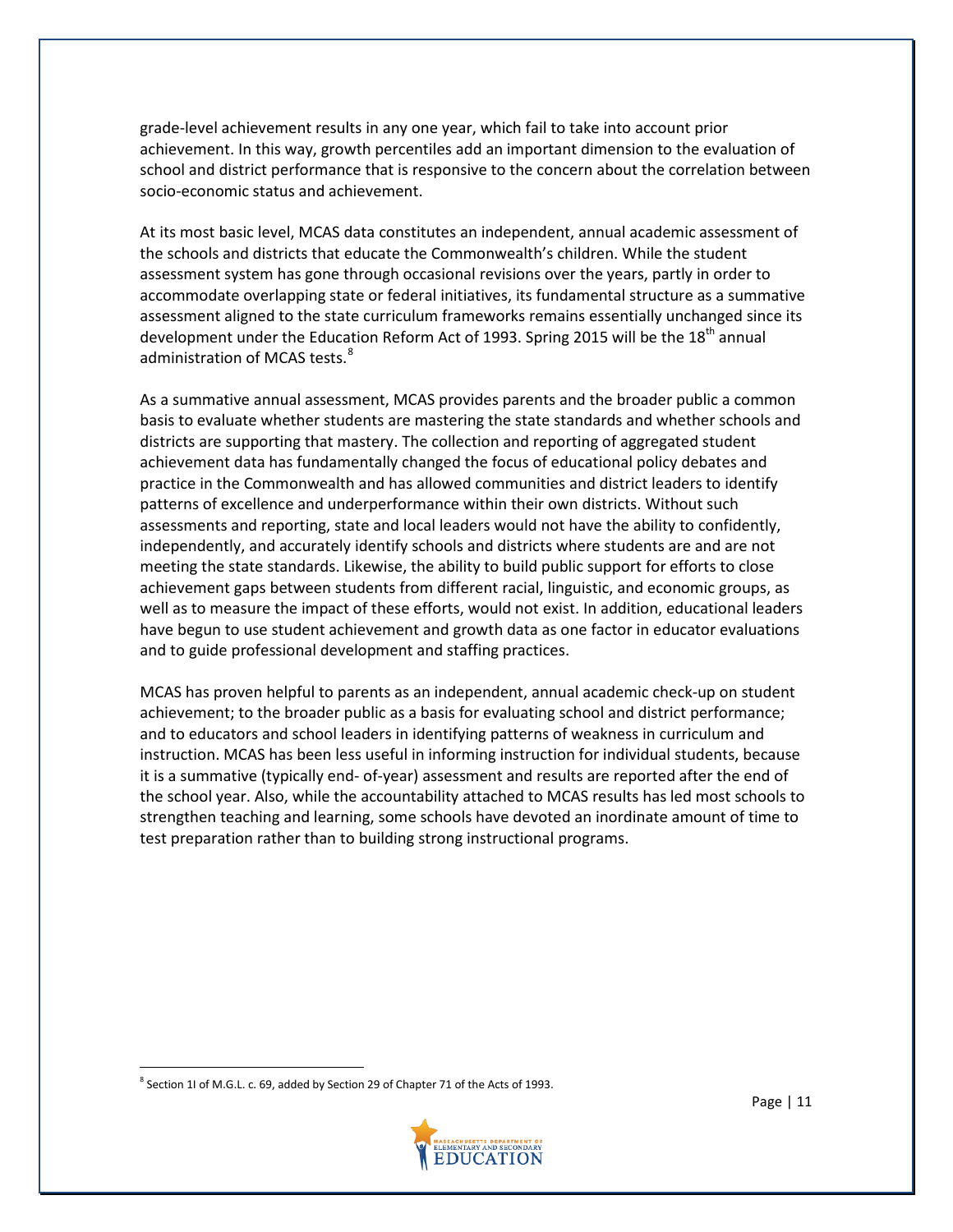grade-level achievement results in any one year, which fail to take into account prior achievement. In this way, growth percentiles add an important dimension to the evaluation of school and district performance that is responsive to the concern about the correlation between socio-economic status and achievement.

At its most basic level, MCAS data constitutes an independent, annual academic assessment of the schools and districts that educate the Commonwealth's children. While the student assessment system has gone through occasional revisions over the years, partly in order to accommodate overlapping state or federal initiatives, its fundamental structure as a summative assessment aligned to the state curriculum frameworks remains essentially unchanged since its development under the Education Reform Act of 1993. Spring 2015 will be the 18<sup>th</sup> annual administration of MCAS tests.<sup>[8](#page-11-0)</sup>

As a summative annual assessment, MCAS provides parents and the broader public a common basis to evaluate whether students are mastering the state standards and whether schools and districts are supporting that mastery. The collection and reporting of aggregated student achievement data has fundamentally changed the focus of educational policy debates and practice in the Commonwealth and has allowed communities and district leaders to identify patterns of excellence and underperformance within their own districts. Without such assessments and reporting, state and local leaders would not have the ability to confidently, independently, and accurately identify schools and districts where students are and are not meeting the state standards. Likewise, the ability to build public support for efforts to close achievement gaps between students from different racial, linguistic, and economic groups, as well as to measure the impact of these efforts, would not exist. In addition, educational leaders have begun to use student achievement and growth data as one factor in educator evaluations and to guide professional development and staffing practices.

MCAS has proven helpful to parents as an independent, annual academic check-up on student achievement; to the broader public as a basis for evaluating school and district performance; and to educators and school leaders in identifying patterns of weakness in curriculum and instruction. MCAS has been less useful in informing instruction for individual students, because it is a summative (typically end- of-year) assessment and results are reported after the end of the school year. Also, while the accountability attached to MCAS results has led most schools to strengthen teaching and learning, some schools have devoted an inordinate amount of time to test preparation rather than to building strong instructional programs.

<span id="page-11-0"></span> $8$  Section 1I of M.G.L. c. 69, added by Section 29 of Chapter 71 of the Acts of 1993.

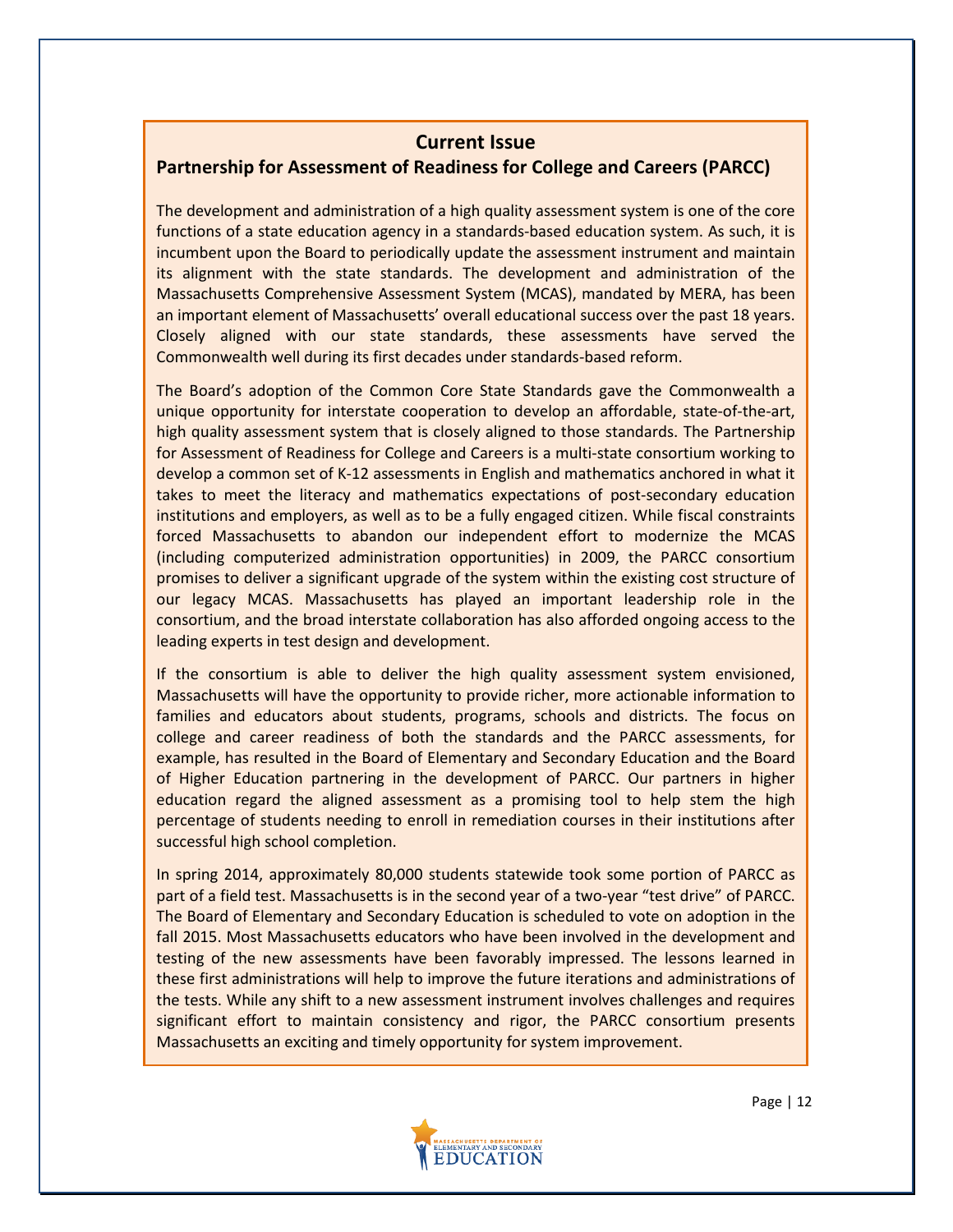#### **Current Issue**

## **Partnership for Assessment of Readiness for College and Careers (PARCC)**

The development and administration of a high quality assessment system is one of the core functions of a state education agency in a standards-based education system. As such, it is incumbent upon the Board to periodically update the assessment instrument and maintain its alignment with the state standards. The development and administration of the Massachusetts Comprehensive Assessment System (MCAS), mandated by MERA, has been an important element of Massachusetts' overall educational success over the past 18 years. Closely aligned with our state standards, these assessments have served the Commonwealth well during its first decades under standards-based reform.

The Board's adoption of the Common Core State Standards gave the Commonwealth a unique opportunity for interstate cooperation to develop an affordable, state-of-the-art, high quality assessment system that is closely aligned to those standards. The Partnership for Assessment of Readiness for College and Careers is a multi-state consortium working to develop a common set of K-12 assessments in English and mathematics anchored in what it takes to meet the literacy and mathematics expectations of post-secondary education institutions and employers, as well as to be a fully engaged citizen. While fiscal constraints forced Massachusetts to abandon our independent effort to modernize the MCAS (including computerized administration opportunities) in 2009, the PARCC consortium promises to deliver a significant upgrade of the system within the existing cost structure of our legacy MCAS. Massachusetts has played an important leadership role in the consortium, and the broad interstate collaboration has also afforded ongoing access to the leading experts in test design and development.

If the consortium is able to deliver the high quality assessment system envisioned, Massachusetts will have the opportunity to provide richer, more actionable information to families and educators about students, programs, schools and districts. The focus on college and career readiness of both the standards and the PARCC assessments, for example, has resulted in the Board of Elementary and Secondary Education and the Board of Higher Education partnering in the development of PARCC. Our partners in higher education regard the aligned assessment as a promising tool to help stem the high percentage of students needing to enroll in remediation courses in their institutions after successful high school completion.

In spring 2014, approximately 80,000 students statewide took some portion of PARCC as part of a field test. Massachusetts is in the second year of a two-year "test drive" of PARCC. The Board of Elementary and Secondary Education is scheduled to vote on adoption in the fall 2015. Most Massachusetts educators who have been involved in the development and testing of the new assessments have been favorably impressed. The lessons learned in these first administrations will help to improve the future iterations and administrations of the tests. While any shift to a new assessment instrument involves challenges and requires significant effort to maintain consistency and rigor, the PARCC consortium presents Massachusetts an exciting and timely opportunity for system improvement.

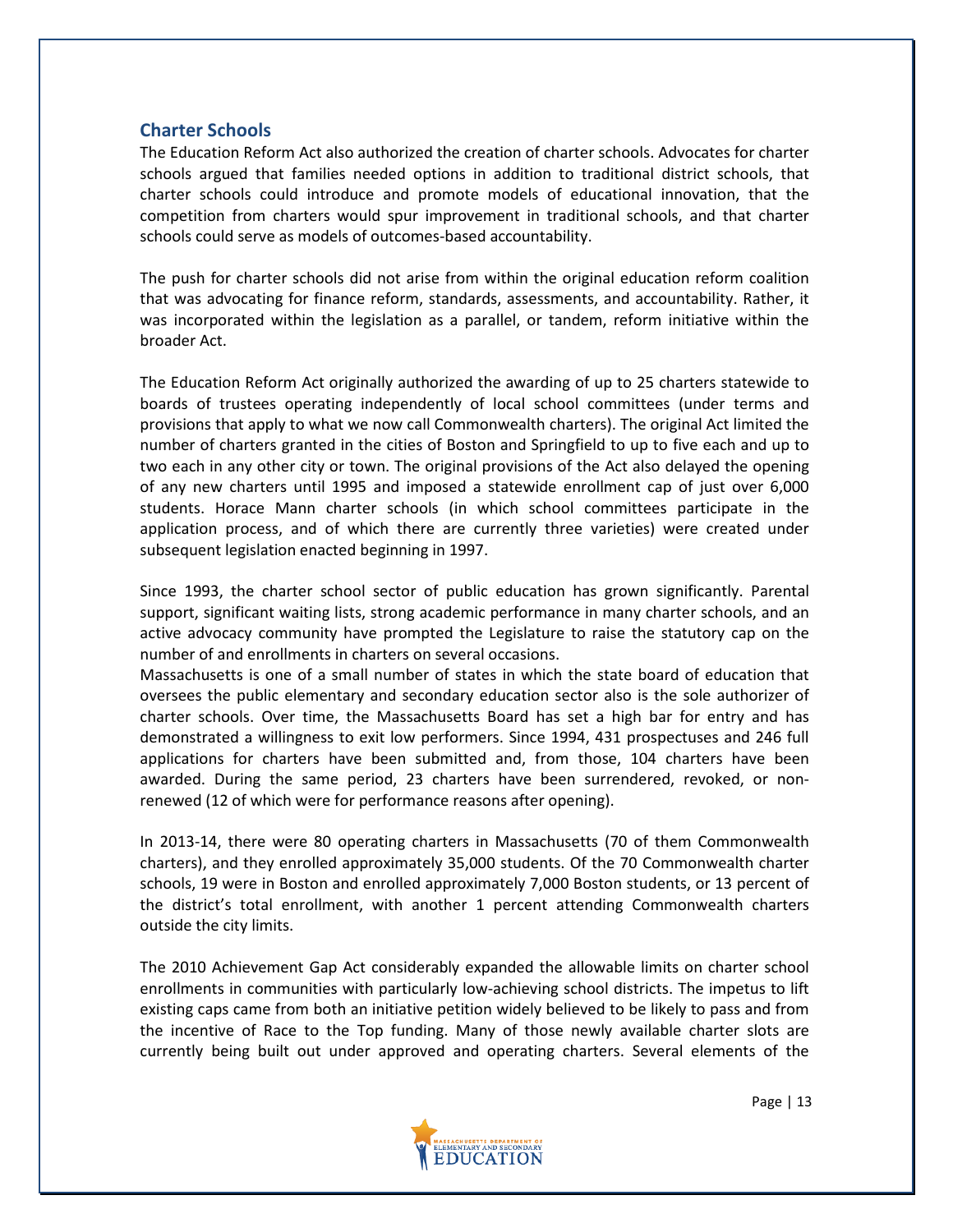#### **Charter Schools**

The Education Reform Act also authorized the creation of charter schools. Advocates for charter schools argued that families needed options in addition to traditional district schools, that charter schools could introduce and promote models of educational innovation, that the competition from charters would spur improvement in traditional schools, and that charter schools could serve as models of outcomes-based accountability.

The push for charter schools did not arise from within the original education reform coalition that was advocating for finance reform, standards, assessments, and accountability. Rather, it was incorporated within the legislation as a parallel, or tandem, reform initiative within the broader Act.

The Education Reform Act originally authorized the awarding of up to 25 charters statewide to boards of trustees operating independently of local school committees (under terms and provisions that apply to what we now call Commonwealth charters). The original Act limited the number of charters granted in the cities of Boston and Springfield to up to five each and up to two each in any other city or town. The original provisions of the Act also delayed the opening of any new charters until 1995 and imposed a statewide enrollment cap of just over 6,000 students. Horace Mann charter schools (in which school committees participate in the application process, and of which there are currently three varieties) were created under subsequent legislation enacted beginning in 1997.

Since 1993, the charter school sector of public education has grown significantly. Parental support, significant waiting lists, strong academic performance in many charter schools, and an active advocacy community have prompted the Legislature to raise the statutory cap on the number of and enrollments in charters on several occasions.

Massachusetts is one of a small number of states in which the state board of education that oversees the public elementary and secondary education sector also is the sole authorizer of charter schools. Over time, the Massachusetts Board has set a high bar for entry and has demonstrated a willingness to exit low performers. Since 1994, 431 prospectuses and 246 full applications for charters have been submitted and, from those, 104 charters have been awarded. During the same period, 23 charters have been surrendered, revoked, or nonrenewed (12 of which were for performance reasons after opening).

In 2013-14, there were 80 operating charters in Massachusetts (70 of them Commonwealth charters), and they enrolled approximately 35,000 students. Of the 70 Commonwealth charter schools, 19 were in Boston and enrolled approximately 7,000 Boston students, or 13 percent of the district's total enrollment, with another 1 percent attending Commonwealth charters outside the city limits.

The 2010 Achievement Gap Act considerably expanded the allowable limits on charter school enrollments in communities with particularly low-achieving school districts. The impetus to lift existing caps came from both an initiative petition widely believed to be likely to pass and from the incentive of Race to the Top funding. Many of those newly available charter slots are currently being built out under approved and operating charters. Several elements of the



Page | 13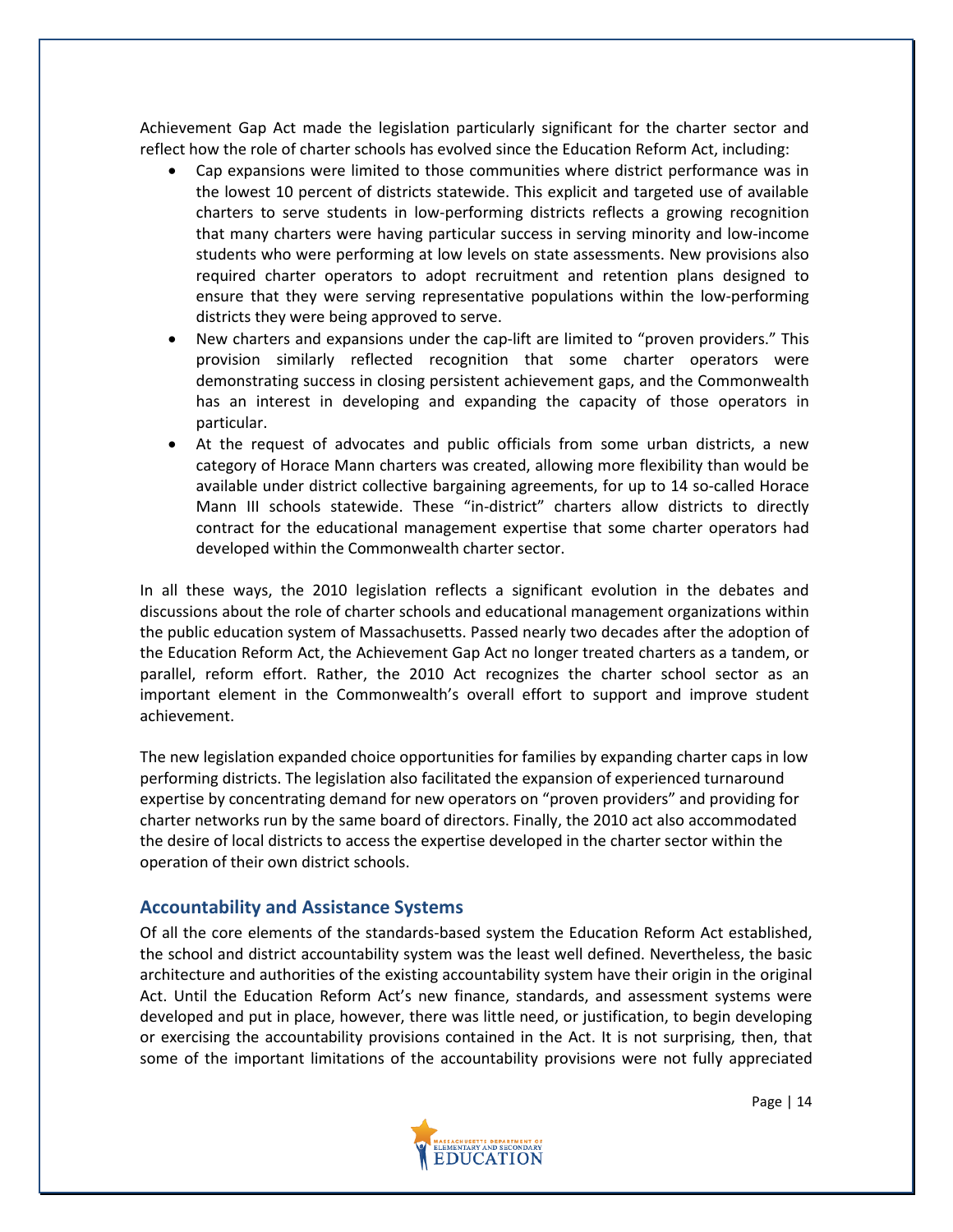Achievement Gap Act made the legislation particularly significant for the charter sector and reflect how the role of charter schools has evolved since the Education Reform Act, including:

- Cap expansions were limited to those communities where district performance was in the lowest 10 percent of districts statewide. This explicit and targeted use of available charters to serve students in low-performing districts reflects a growing recognition that many charters were having particular success in serving minority and low-income students who were performing at low levels on state assessments. New provisions also required charter operators to adopt recruitment and retention plans designed to ensure that they were serving representative populations within the low-performing districts they were being approved to serve.
- New charters and expansions under the cap-lift are limited to "proven providers." This provision similarly reflected recognition that some charter operators were demonstrating success in closing persistent achievement gaps, and the Commonwealth has an interest in developing and expanding the capacity of those operators in particular.
- At the request of advocates and public officials from some urban districts, a new category of Horace Mann charters was created, allowing more flexibility than would be available under district collective bargaining agreements, for up to 14 so-called Horace Mann III schools statewide. These "in-district" charters allow districts to directly contract for the educational management expertise that some charter operators had developed within the Commonwealth charter sector.

In all these ways, the 2010 legislation reflects a significant evolution in the debates and discussions about the role of charter schools and educational management organizations within the public education system of Massachusetts. Passed nearly two decades after the adoption of the Education Reform Act, the Achievement Gap Act no longer treated charters as a tandem, or parallel, reform effort. Rather, the 2010 Act recognizes the charter school sector as an important element in the Commonwealth's overall effort to support and improve student achievement.

The new legislation expanded choice opportunities for families by expanding charter caps in low performing districts. The legislation also facilitated the expansion of experienced turnaround expertise by concentrating demand for new operators on "proven providers" and providing for charter networks run by the same board of directors. Finally, the 2010 act also accommodated the desire of local districts to access the expertise developed in the charter sector within the operation of their own district schools.

#### **Accountability and Assistance Systems**

Of all the core elements of the standards-based system the Education Reform Act established, the school and district accountability system was the least well defined. Nevertheless, the basic architecture and authorities of the existing accountability system have their origin in the original Act. Until the Education Reform Act's new finance, standards, and assessment systems were developed and put in place, however, there was little need, or justification, to begin developing or exercising the accountability provisions contained in the Act. It is not surprising, then, that some of the important limitations of the accountability provisions were not fully appreciated

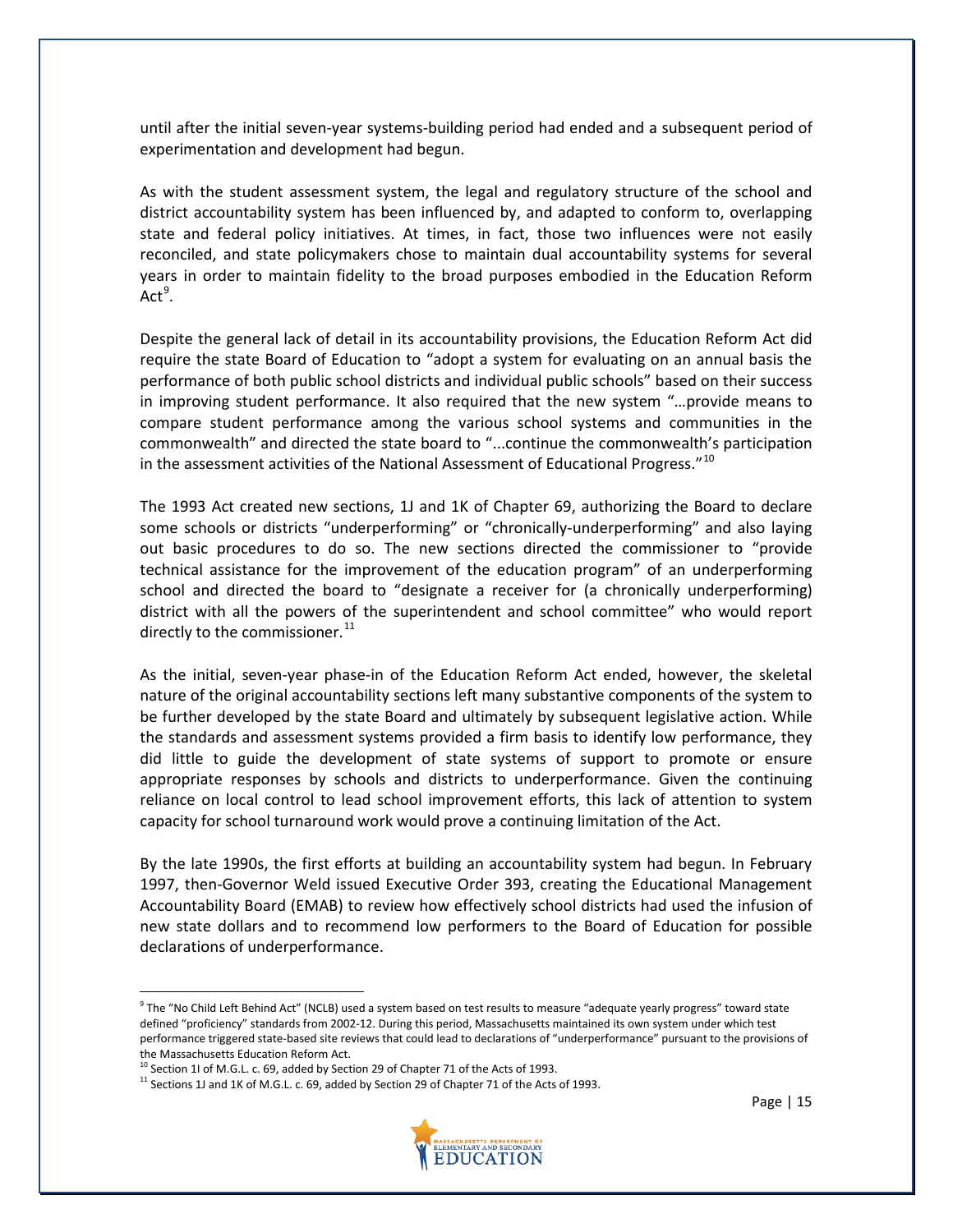until after the initial seven-year systems-building period had ended and a subsequent period of experimentation and development had begun.

As with the student assessment system, the legal and regulatory structure of the school and district accountability system has been influenced by, and adapted to conform to, overlapping state and federal policy initiatives. At times, in fact, those two influences were not easily reconciled, and state policymakers chose to maintain dual accountability systems for several years in order to maintain fidelity to the broad purposes embodied in the Education Reform  $Act<sup>9</sup>$  $Act<sup>9</sup>$  $Act<sup>9</sup>$ .

Despite the general lack of detail in its accountability provisions, the Education Reform Act did require the state Board of Education to "adopt a system for evaluating on an annual basis the performance of both public school districts and individual public schools" based on their success in improving student performance. It also required that the new system "…provide means to compare student performance among the various school systems and communities in the commonwealth" and directed the state board to "...continue the commonwealth's participation in the assessment activities of the National Assessment of Educational Progress."<sup>[10](#page-15-1)</sup>

The 1993 Act created new sections, 1J and 1K of Chapter 69, authorizing the Board to declare some schools or districts "underperforming" or "chronically-underperforming" and also laying out basic procedures to do so. The new sections directed the commissioner to "provide technical assistance for the improvement of the education program" of an underperforming school and directed the board to "designate a receiver for (a chronically underperforming) district with all the powers of the superintendent and school committee" who would report directly to the commissioner.<sup>[11](#page-15-2)</sup>

As the initial, seven-year phase-in of the Education Reform Act ended, however, the skeletal nature of the original accountability sections left many substantive components of the system to be further developed by the state Board and ultimately by subsequent legislative action. While the standards and assessment systems provided a firm basis to identify low performance, they did little to guide the development of state systems of support to promote or ensure appropriate responses by schools and districts to underperformance. Given the continuing reliance on local control to lead school improvement efforts, this lack of attention to system capacity for school turnaround work would prove a continuing limitation of the Act.

By the late 1990s, the first efforts at building an accountability system had begun. In February 1997, then-Governor Weld issued Executive Order 393, creating the Educational Management Accountability Board (EMAB) to review how effectively school districts had used the infusion of new state dollars and to recommend low performers to the Board of Education for possible declarations of underperformance.



<span id="page-15-0"></span> $9$  The "No Child Left Behind Act" (NCLB) used a system based on test results to measure "adequate yearly progress" toward state defined "proficiency" standards from 2002-12. During this period, Massachusetts maintained its own system under which test performance triggered state-based site reviews that could lead to declarations of "underperformance" pursuant to the provisions of the Massachusetts Education Reform Act.

<span id="page-15-2"></span><span id="page-15-1"></span><sup>&</sup>lt;sup>10</sup> Section 1I of M.G.L. c. 69, added by Section 29 of Chapter 71 of the Acts of 1993.<br><sup>11</sup> Sections 1J and 1K of M.G.L. c. 69, added by Section 29 of Chapter 71 of the Acts of 1993.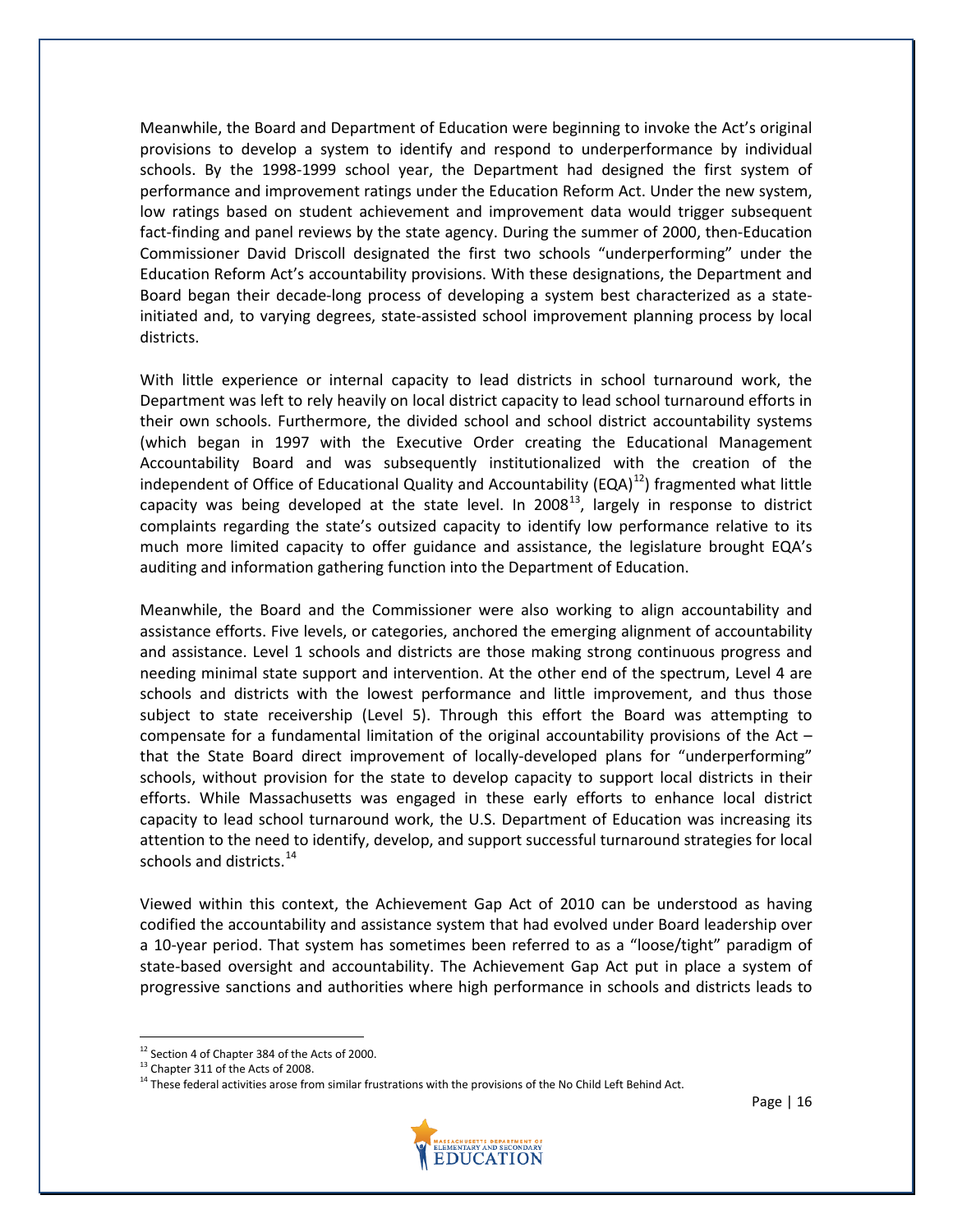Meanwhile, the Board and Department of Education were beginning to invoke the Act's original provisions to develop a system to identify and respond to underperformance by individual schools. By the 1998-1999 school year, the Department had designed the first system of performance and improvement ratings under the Education Reform Act. Under the new system, low ratings based on student achievement and improvement data would trigger subsequent fact-finding and panel reviews by the state agency. During the summer of 2000, then-Education Commissioner David Driscoll designated the first two schools "underperforming" under the Education Reform Act's accountability provisions. With these designations, the Department and Board began their decade-long process of developing a system best characterized as a stateinitiated and, to varying degrees, state-assisted school improvement planning process by local districts.

With little experience or internal capacity to lead districts in school turnaround work, the Department was left to rely heavily on local district capacity to lead school turnaround efforts in their own schools. Furthermore, the divided school and school district accountability systems (which began in 1997 with the Executive Order creating the Educational Management Accountability Board and was subsequently institutionalized with the creation of the independent of Office of Educational Quality and Accountability (EQA) $^{12}$  $^{12}$  $^{12}$ ) fragmented what little capacity was being developed at the state level. In 2008<sup>13</sup>, largely in response to district complaints regarding the state's outsized capacity to identify low performance relative to its much more limited capacity to offer guidance and assistance, the legislature brought EQA's auditing and information gathering function into the Department of Education.

Meanwhile, the Board and the Commissioner were also working to align accountability and assistance efforts. Five levels, or categories, anchored the emerging alignment of accountability and assistance. Level 1 schools and districts are those making strong continuous progress and needing minimal state support and intervention. At the other end of the spectrum, Level 4 are schools and districts with the lowest performance and little improvement, and thus those subject to state receivership (Level 5). Through this effort the Board was attempting to compensate for a fundamental limitation of the original accountability provisions of the Act – that the State Board direct improvement of locally-developed plans for "underperforming" schools, without provision for the state to develop capacity to support local districts in their efforts. While Massachusetts was engaged in these early efforts to enhance local district capacity to lead school turnaround work, the U.S. Department of Education was increasing its attention to the need to identify, develop, and support successful turnaround strategies for local schools and districts. $14$ 

Viewed within this context, the Achievement Gap Act of 2010 can be understood as having codified the accountability and assistance system that had evolved under Board leadership over a 10-year period. That system has sometimes been referred to as a "loose/tight" paradigm of state-based oversight and accountability. The Achievement Gap Act put in place a system of progressive sanctions and authorities where high performance in schools and districts leads to

<span id="page-16-2"></span><span id="page-16-1"></span><sup>&</sup>lt;sup>14</sup> These federal activities arose from similar frustrations with the provisions of the No Child Left Behind Act.



<span id="page-16-0"></span> $12$  Section 4 of Chapter 384 of the Acts of 2000.<br> $13$  Chapter 311 of the Acts of 2008.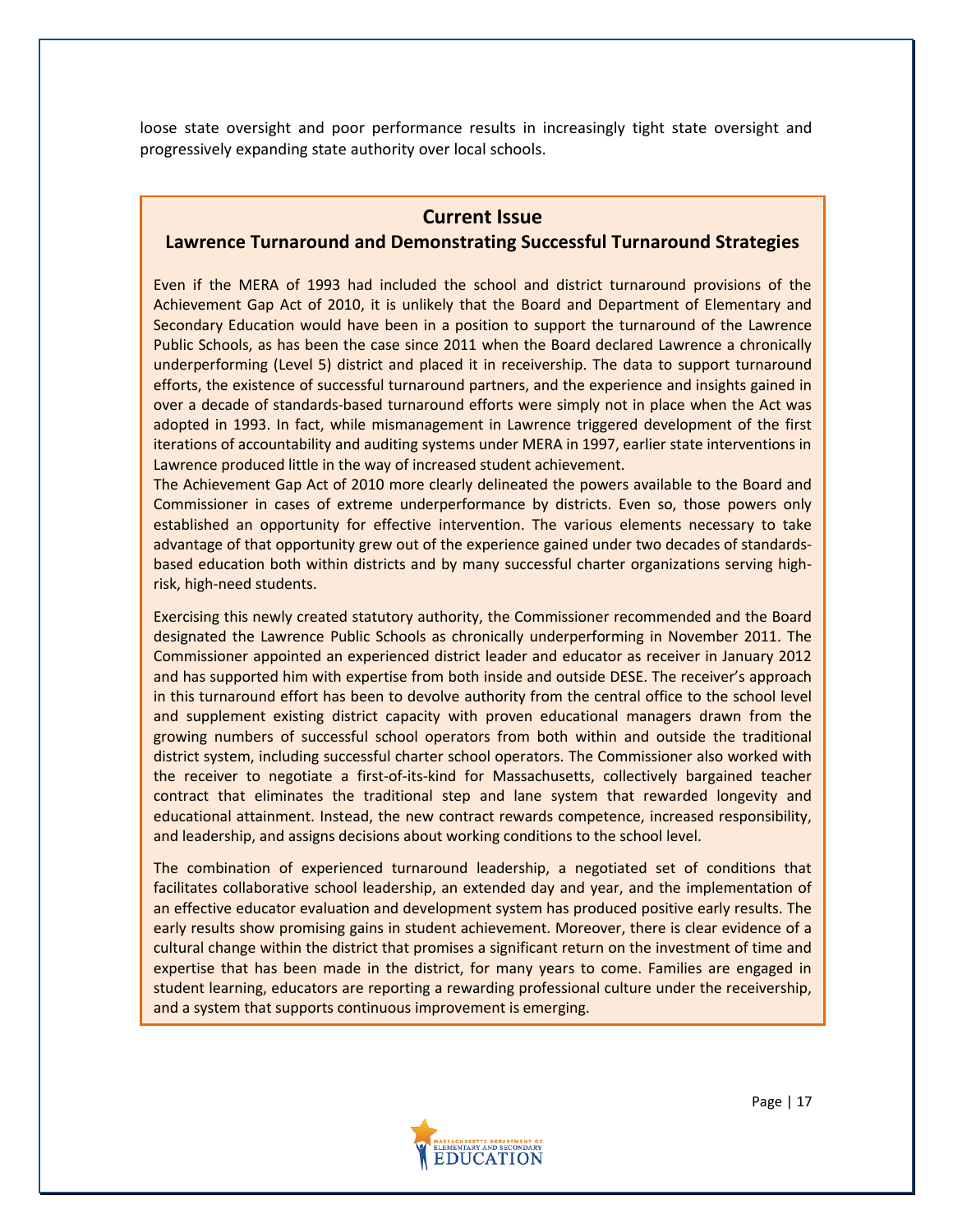loose state oversight and poor performance results in increasingly tight state oversight and progressively expanding state authority over local schools.

#### **Current Issue**

#### **Lawrence Turnaround and Demonstrating Successful Turnaround Strategies**

Even if the MERA of 1993 had included the school and district turnaround provisions of the Achievement Gap Act of 2010, it is unlikely that the Board and Department of Elementary and Secondary Education would have been in a position to support the turnaround of the Lawrence Public Schools, as has been the case since 2011 when the Board declared Lawrence a chronically underperforming (Level 5) district and placed it in receivership. The data to support turnaround efforts, the existence of successful turnaround partners, and the experience and insights gained in over a decade of standards-based turnaround efforts were simply not in place when the Act was adopted in 1993. In fact, while mismanagement in Lawrence triggered development of the first iterations of accountability and auditing systems under MERA in 1997, earlier state interventions in Lawrence produced little in the way of increased student achievement.

The Achievement Gap Act of 2010 more clearly delineated the powers available to the Board and Commissioner in cases of extreme underperformance by districts. Even so, those powers only established an opportunity for effective intervention. The various elements necessary to take advantage of that opportunity grew out of the experience gained under two decades of standardsbased education both within districts and by many successful charter organizations serving highrisk, high-need students.

Exercising this newly created statutory authority, the Commissioner recommended and the Board designated the Lawrence Public Schools as chronically underperforming in November 2011. The Commissioner appointed an experienced district leader and educator as receiver in January 2012 and has supported him with expertise from both inside and outside DESE. The receiver's approach in this turnaround effort has been to devolve authority from the central office to the school level and supplement existing district capacity with proven educational managers drawn from the growing numbers of successful school operators from both within and outside the traditional district system, including successful charter school operators. The Commissioner also worked with the receiver to negotiate a first-of-its-kind for Massachusetts, collectively bargained teacher contract that eliminates the traditional step and lane system that rewarded longevity and educational attainment. Instead, the new contract rewards competence, increased responsibility, and leadership, and assigns decisions about working conditions to the school level.

The combination of experienced turnaround leadership, a negotiated set of conditions that facilitates collaborative school leadership, an extended day and year, and the implementation of an effective educator evaluation and development system has produced positive early results. The early results show promising gains in student achievement. Moreover, there is clear evidence of a cultural change within the district that promises a significant return on the investment of time and expertise that has been made in the district, for many years to come. Families are engaged in student learning, educators are reporting a rewarding professional culture under the receivership, and a system that supports continuous improvement is emerging.

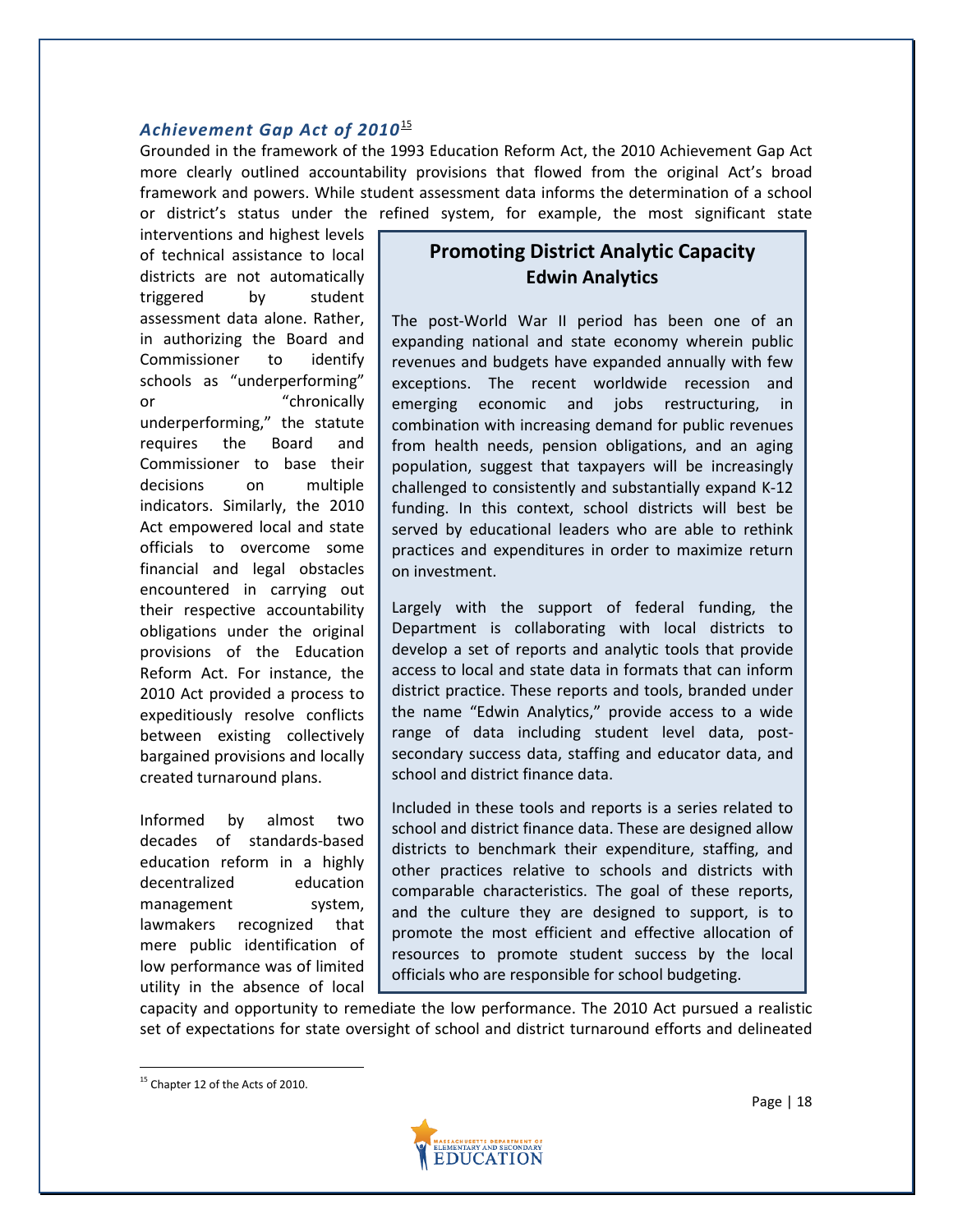#### *Achievement Gap Act of 2010*[15](#page-18-0)

Grounded in the framework of the 1993 Education Reform Act, the 2010 Achievement Gap Act more clearly outlined accountability provisions that flowed from the original Act's broad framework and powers. While student assessment data informs the determination of a school or district's status under the refined system, for example, the most significant state

interventions and highest levels of technical assistance to local districts are not automatically triggered by student assessment data alone. Rather, in authorizing the Board and Commissioner to identify schools as "underperforming" or "chronically underperforming," the statute requires the Board and Commissioner to base their decisions on multiple indicators. Similarly, the 2010 Act empowered local and state officials to overcome some financial and legal obstacles encountered in carrying out their respective accountability obligations under the original provisions of the Education Reform Act. For instance, the 2010 Act provided a process to expeditiously resolve conflicts between existing collectively bargained provisions and locally created turnaround plans.

Informed by almost two decades of standards-based education reform in a highly decentralized education management system, lawmakers recognized that mere public identification of low performance was of limited utility in the absence of local

# **Promoting District Analytic Capacity Edwin Analytics**

The post-World War II period has been one of an expanding national and state economy wherein public revenues and budgets have expanded annually with few exceptions. The recent worldwide recession and emerging economic and jobs restructuring, in combination with increasing demand for public revenues from health needs, pension obligations, and an aging population, suggest that taxpayers will be increasingly challenged to consistently and substantially expand K-12 funding. In this context, school districts will best be served by educational leaders who are able to rethink practices and expenditures in order to maximize return on investment.

Largely with the support of federal funding, the Department is collaborating with local districts to develop a set of reports and analytic tools that provide access to local and state data in formats that can inform district practice. These reports and tools, branded under the name "Edwin Analytics," provide access to a wide range of data including student level data, postsecondary success data, staffing and educator data, and school and district finance data.

Included in these tools and reports is a series related to school and district finance data. These are designed allow districts to benchmark their expenditure, staffing, and other practices relative to schools and districts with comparable characteristics. The goal of these reports, and the culture they are designed to support, is to promote the most efficient and effective allocation of resources to promote student success by the local officials who are responsible for school budgeting.

capacity and opportunity to remediate the low performance. The 2010 Act pursued a realistic set of expectations for state oversight of school and district turnaround efforts and delineated



<span id="page-18-0"></span><sup>&</sup>lt;sup>15</sup> Chapter 12 of the Acts of 2010.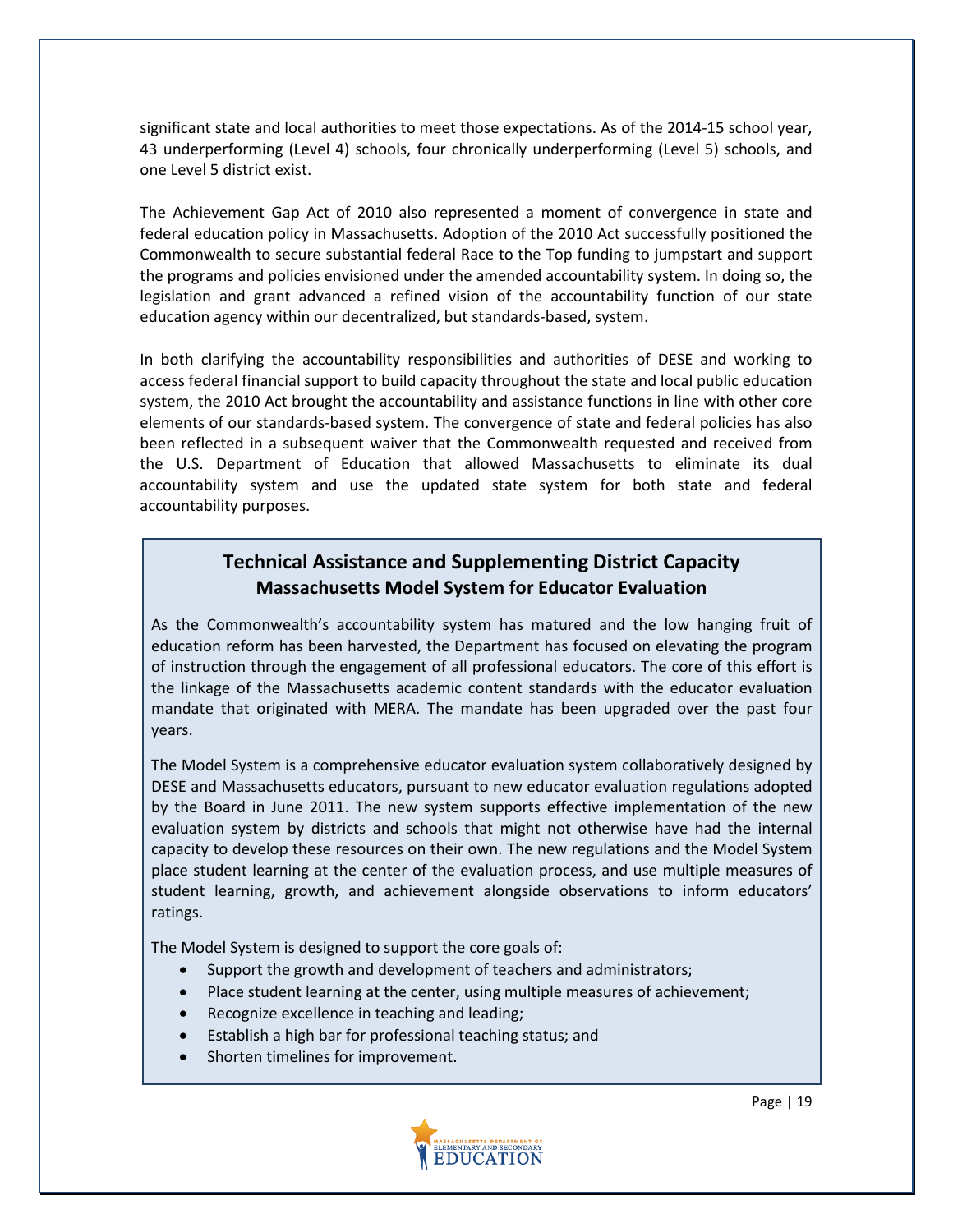significant state and local authorities to meet those expectations. As of the 2014-15 school year, 43 underperforming (Level 4) schools, four chronically underperforming (Level 5) schools, and one Level 5 district exist.

The Achievement Gap Act of 2010 also represented a moment of convergence in state and federal education policy in Massachusetts. Adoption of the 2010 Act successfully positioned the Commonwealth to secure substantial federal Race to the Top funding to jumpstart and support the programs and policies envisioned under the amended accountability system. In doing so, the legislation and grant advanced a refined vision of the accountability function of our state education agency within our decentralized, but standards-based, system.

In both clarifying the accountability responsibilities and authorities of DESE and working to access federal financial support to build capacity throughout the state and local public education system, the 2010 Act brought the accountability and assistance functions in line with other core elements of our standards-based system. The convergence of state and federal policies has also been reflected in a subsequent waiver that the Commonwealth requested and received from the U.S. Department of Education that allowed Massachusetts to eliminate its dual accountability system and use the updated state system for both state and federal accountability purposes.

# **Technical Assistance and Supplementing District Capacity Massachusetts Model System for Educator Evaluation**

As the Commonwealth's accountability system has matured and the low hanging fruit of education reform has been harvested, the Department has focused on elevating the program of instruction through the engagement of all professional educators. The core of this effort is the linkage of the Massachusetts academic content standards with the educator evaluation mandate that originated with MERA. The mandate has been upgraded over the past four years.

The Model System is a comprehensive educator evaluation system collaboratively designed by DESE and Massachusetts educators, pursuant to new educator evaluation regulations adopted by the Board in June 2011. The new system supports effective implementation of the new evaluation system by districts and schools that might not otherwise have had the internal capacity to develop these resources on their own. The new regulations and the Model System place student learning at the center of the evaluation process, and use multiple measures of student learning, growth, and achievement alongside observations to inform educators' ratings.

The Model System is designed to support the core goals of:

- Support the growth and development of teachers and administrators;
- Place student learning at the center, using multiple measures of achievement;
- Recognize excellence in teaching and leading;
- Establish a high bar for professional teaching status; and
- Shorten timelines for improvement.



Page | 19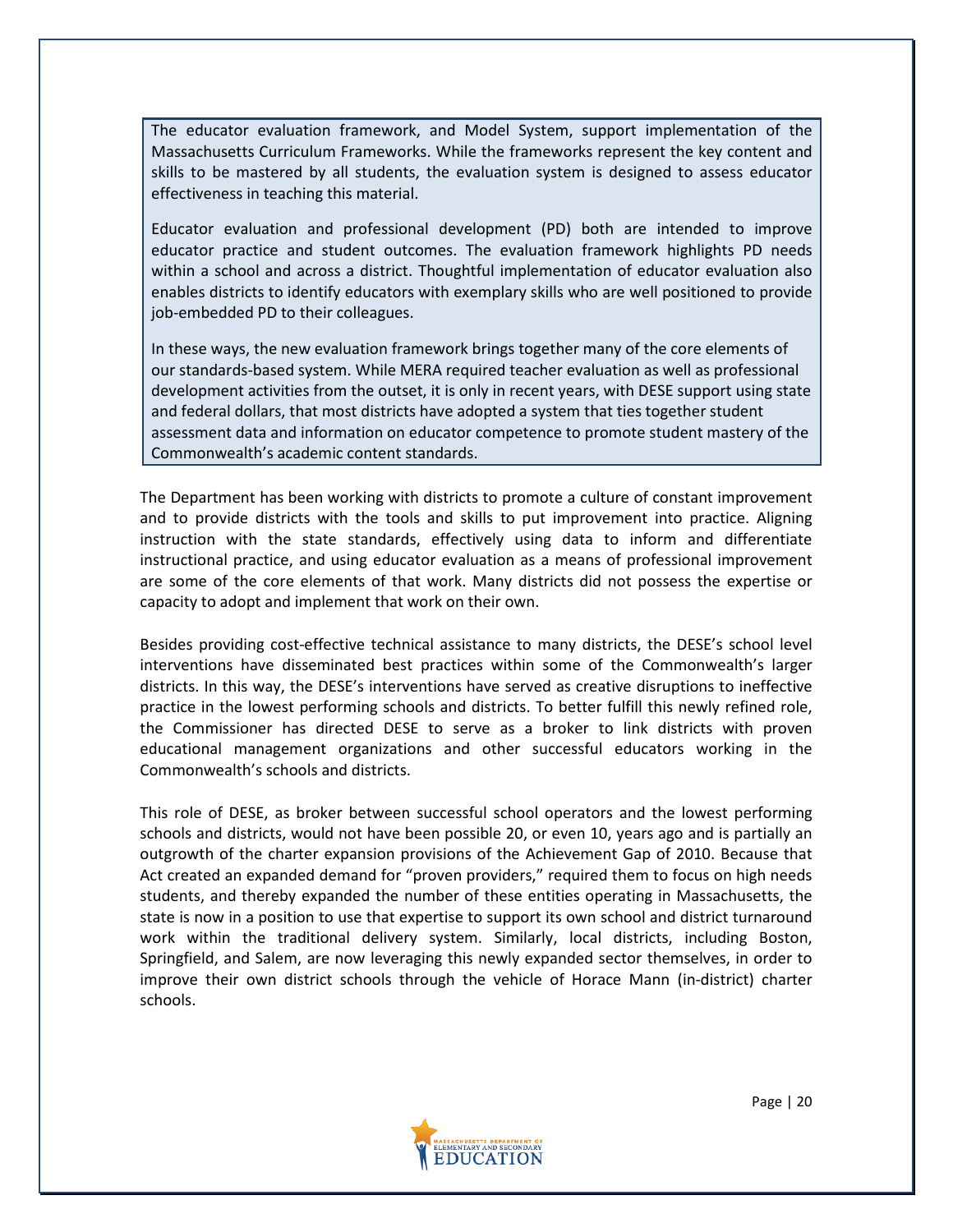The educator evaluation framework, and Model System, support implementation of the Massachusetts Curriculum Frameworks. While the frameworks represent the key content and skills to be mastered by all students, the evaluation system is designed to assess educator effectiveness in teaching this material.

Educator evaluation and professional development (PD) both are intended to improve educator practice and student outcomes. The evaluation framework highlights PD needs within a school and across a district. Thoughtful implementation of educator evaluation also enables districts to identify educators with exemplary skills who are well positioned to provide job-embedded PD to their colleagues.

In these ways, the new evaluation framework brings together many of the core elements of our standards-based system. While MERA required teacher evaluation as well as professional development activities from the outset, it is only in recent years, with DESE support using state and federal dollars, that most districts have adopted a system that ties together student assessment data and information on educator competence to promote student mastery of the Commonwealth's academic content standards.

The Department has been working with districts to promote a culture of constant improvement and to provide districts with the tools and skills to put improvement into practice. Aligning instruction with the state standards, effectively using data to inform and differentiate instructional practice, and using educator evaluation as a means of professional improvement are some of the core elements of that work. Many districts did not possess the expertise or capacity to adopt and implement that work on their own.

Besides providing cost-effective technical assistance to many districts, the DESE's school level interventions have disseminated best practices within some of the Commonwealth's larger districts. In this way, the DESE's interventions have served as creative disruptions to ineffective practice in the lowest performing schools and districts. To better fulfill this newly refined role, the Commissioner has directed DESE to serve as a broker to link districts with proven educational management organizations and other successful educators working in the Commonwealth's schools and districts.

This role of DESE, as broker between successful school operators and the lowest performing schools and districts, would not have been possible 20, or even 10, years ago and is partially an outgrowth of the charter expansion provisions of the Achievement Gap of 2010. Because that Act created an expanded demand for "proven providers," required them to focus on high needs students, and thereby expanded the number of these entities operating in Massachusetts, the state is now in a position to use that expertise to support its own school and district turnaround work within the traditional delivery system. Similarly, local districts, including Boston, Springfield, and Salem, are now leveraging this newly expanded sector themselves, in order to improve their own district schools through the vehicle of Horace Mann (in-district) charter schools.

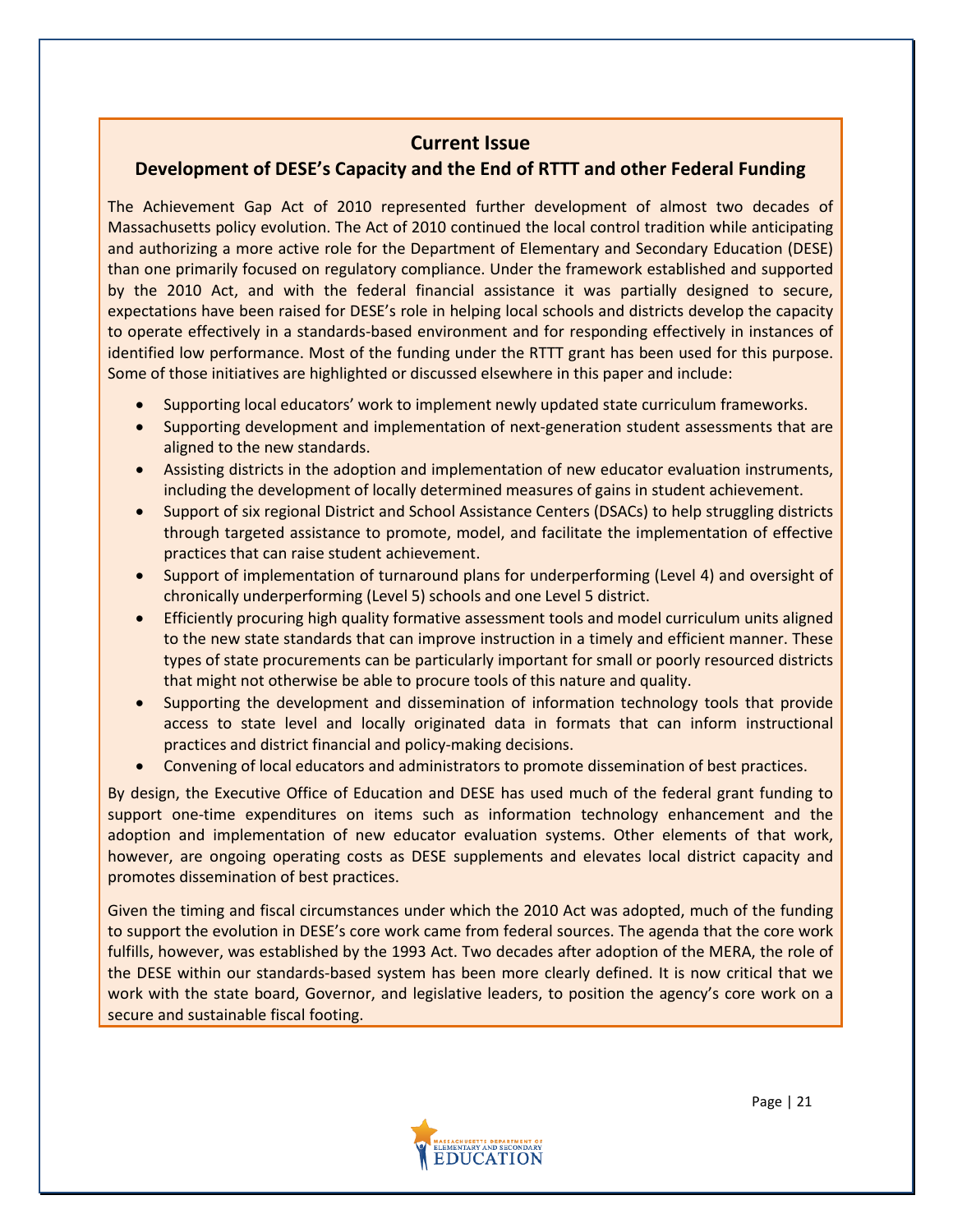### **Current Issue**

## **Development of DESE's Capacity and the End of RTTT and other Federal Funding**

The Achievement Gap Act of 2010 represented further development of almost two decades of Massachusetts policy evolution. The Act of 2010 continued the local control tradition while anticipating and authorizing a more active role for the Department of Elementary and Secondary Education (DESE) than one primarily focused on regulatory compliance. Under the framework established and supported by the 2010 Act, and with the federal financial assistance it was partially designed to secure, expectations have been raised for DESE's role in helping local schools and districts develop the capacity to operate effectively in a standards-based environment and for responding effectively in instances of identified low performance. Most of the funding under the RTTT grant has been used for this purpose. Some of those initiatives are highlighted or discussed elsewhere in this paper and include:

- Supporting local educators' work to implement newly updated state curriculum frameworks.
- Supporting development and implementation of next-generation student assessments that are aligned to the new standards.
- Assisting districts in the adoption and implementation of new educator evaluation instruments, including the development of locally determined measures of gains in student achievement.
- Support of six regional District and School Assistance Centers (DSACs) to help struggling districts through targeted assistance to promote, model, and facilitate the implementation of effective practices that can raise student achievement.
- Support of implementation of turnaround plans for underperforming (Level 4) and oversight of chronically underperforming (Level 5) schools and one Level 5 district.
- Efficiently procuring high quality formative assessment tools and model curriculum units aligned to the new state standards that can improve instruction in a timely and efficient manner. These types of state procurements can be particularly important for small or poorly resourced districts that might not otherwise be able to procure tools of this nature and quality.
- Supporting the development and dissemination of information technology tools that provide access to state level and locally originated data in formats that can inform instructional practices and district financial and policy-making decisions.
- Convening of local educators and administrators to promote dissemination of best practices.

By design, the Executive Office of Education and DESE has used much of the federal grant funding to support one-time expenditures on items such as information technology enhancement and the adoption and implementation of new educator evaluation systems. Other elements of that work, however, are ongoing operating costs as DESE supplements and elevates local district capacity and promotes dissemination of best practices.

Given the timing and fiscal circumstances under which the 2010 Act was adopted, much of the funding to support the evolution in DESE's core work came from federal sources. The agenda that the core work fulfills, however, was established by the 1993 Act. Two decades after adoption of the MERA, the role of the DESE within our standards-based system has been more clearly defined. It is now critical that we work with the state board, Governor, and legislative leaders, to position the agency's core work on a secure and sustainable fiscal footing.